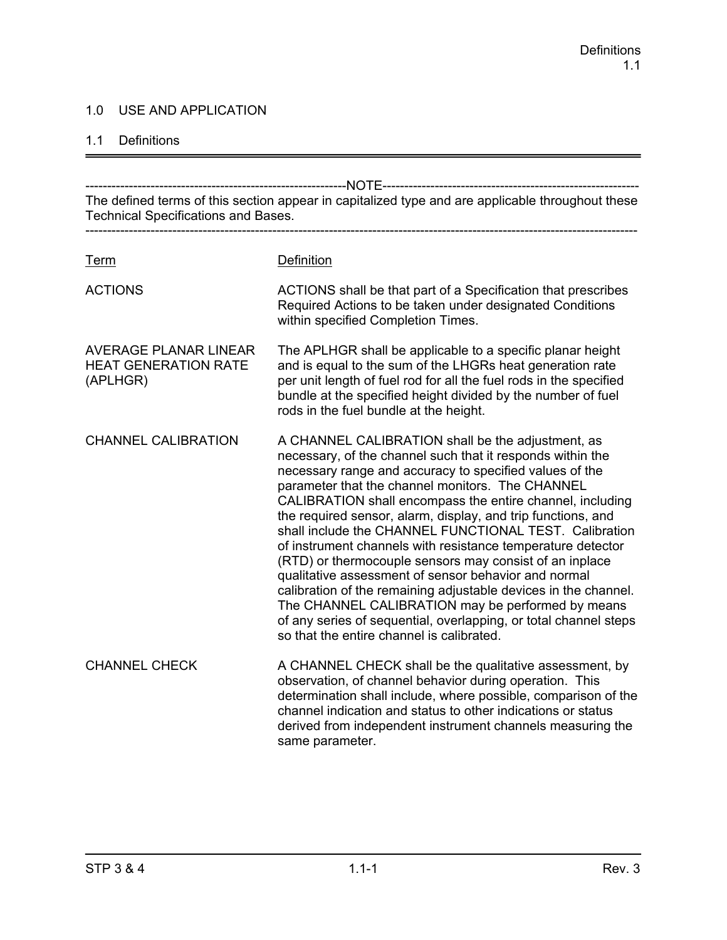### 1.0 USE AND APPLICATION

#### 1.1 Definitions

------------------------------------------------------------NOTE----------------------------------------------------------- The defined terms of this section appear in capitalized type and are applicable throughout these Technical Specifications and Bases. ------------------------------------------------------------------------------------------------------------------------------- Term Definition ACTIONS ACTIONS shall be that part of a Specification that prescribes Required Actions to be taken under designated Conditions within specified Completion Times. AVERAGE PLANAR LINEAR The APLHGR shall be applicable to a specific planar height HEAT GENERATION RATE and is equal to the sum of the LHGRs heat generation rate (APLHGR) per unit length of fuel rod for all the fuel rods in the specified bundle at the specified height divided by the number of fuel rods in the fuel bundle at the height. CHANNEL CALIBRATION A CHANNEL CALIBRATION shall be the adjustment, as necessary, of the channel such that it responds within the necessary range and accuracy to specified values of the parameter that the channel monitors. The CHANNEL CALIBRATION shall encompass the entire channel, including the required sensor, alarm, display, and trip functions, and shall include the CHANNEL FUNCTIONAL TEST. Calibration of instrument channels with resistance temperature detector (RTD) or thermocouple sensors may consist of an inplace qualitative assessment of sensor behavior and normal calibration of the remaining adjustable devices in the channel. The CHANNEL CALIBRATION may be performed by means of any series of sequential, overlapping, or total channel steps so that the entire channel is calibrated. CHANNEL CHECK A CHANNEL CHECK shall be the qualitative assessment, by observation, of channel behavior during operation. This determination shall include, where possible, comparison of the channel indication and status to other indications or status derived from independent instrument channels measuring the same parameter.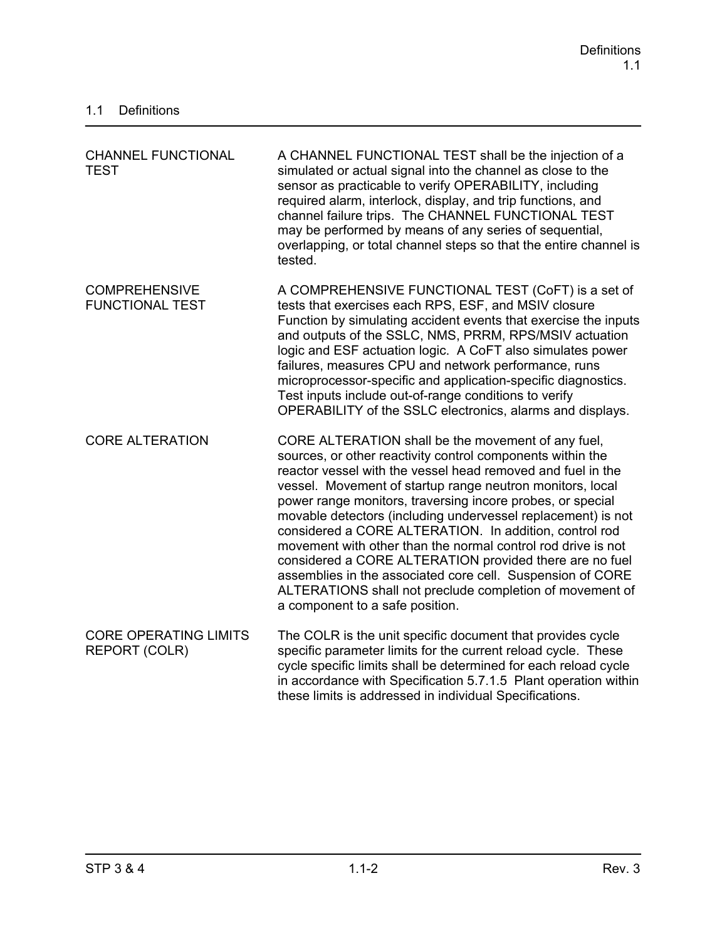| <b>CHANNEL FUNCTIONAL</b><br><b>TEST</b>       | A CHANNEL FUNCTIONAL TEST shall be the injection of a<br>simulated or actual signal into the channel as close to the<br>sensor as practicable to verify OPERABILITY, including<br>required alarm, interlock, display, and trip functions, and<br>channel failure trips. The CHANNEL FUNCTIONAL TEST<br>may be performed by means of any series of sequential,<br>overlapping, or total channel steps so that the entire channel is<br>tested.                                                                                                                                                                                                                                                                                |
|------------------------------------------------|------------------------------------------------------------------------------------------------------------------------------------------------------------------------------------------------------------------------------------------------------------------------------------------------------------------------------------------------------------------------------------------------------------------------------------------------------------------------------------------------------------------------------------------------------------------------------------------------------------------------------------------------------------------------------------------------------------------------------|
| <b>COMPREHENSIVE</b><br><b>FUNCTIONAL TEST</b> | A COMPREHENSIVE FUNCTIONAL TEST (CoFT) is a set of<br>tests that exercises each RPS, ESF, and MSIV closure<br>Function by simulating accident events that exercise the inputs<br>and outputs of the SSLC, NMS, PRRM, RPS/MSIV actuation<br>logic and ESF actuation logic. A CoFT also simulates power<br>failures, measures CPU and network performance, runs<br>microprocessor-specific and application-specific diagnostics.<br>Test inputs include out-of-range conditions to verify<br>OPERABILITY of the SSLC electronics, alarms and displays.                                                                                                                                                                         |
| <b>CORE ALTERATION</b>                         | CORE ALTERATION shall be the movement of any fuel,<br>sources, or other reactivity control components within the<br>reactor vessel with the vessel head removed and fuel in the<br>vessel. Movement of startup range neutron monitors, local<br>power range monitors, traversing incore probes, or special<br>movable detectors (including undervessel replacement) is not<br>considered a CORE ALTERATION. In addition, control rod<br>movement with other than the normal control rod drive is not<br>considered a CORE ALTERATION provided there are no fuel<br>assemblies in the associated core cell. Suspension of CORE<br>ALTERATIONS shall not preclude completion of movement of<br>a component to a safe position. |
| <b>CORE OPERATING LIMITS</b><br>REPORT (COLR)  | The COLR is the unit specific document that provides cycle<br>specific parameter limits for the current reload cycle. These<br>cycle specific limits shall be determined for each reload cycle<br>in accordance with Specification 5.7.1.5 Plant operation within<br>these limits is addressed in individual Specifications.                                                                                                                                                                                                                                                                                                                                                                                                 |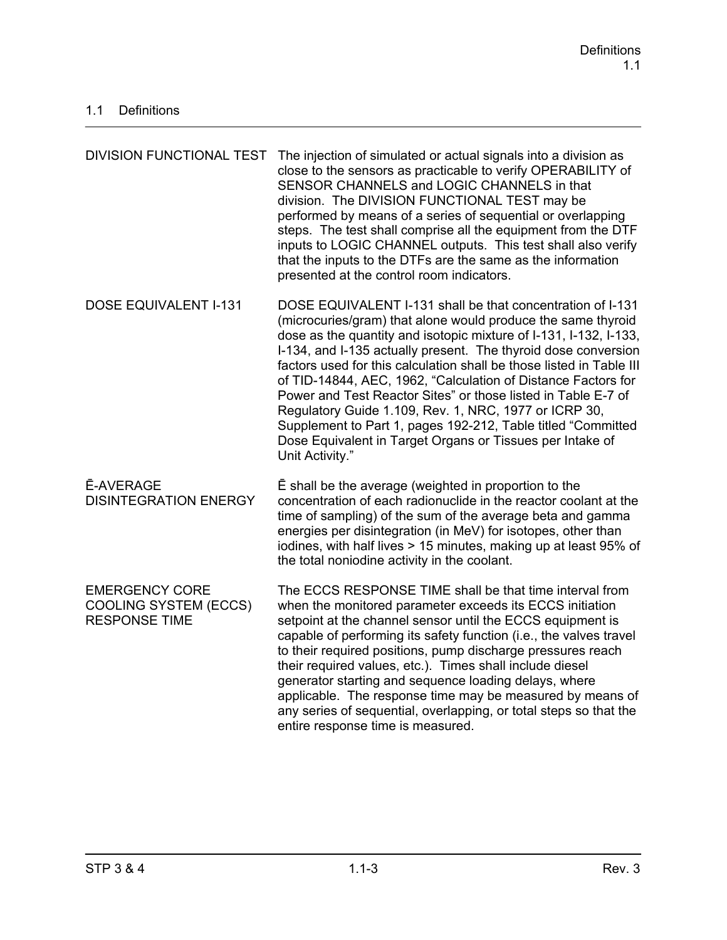| <b>DIVISION FUNCTIONAL TEST</b>                                               | The injection of simulated or actual signals into a division as<br>close to the sensors as practicable to verify OPERABILITY of<br>SENSOR CHANNELS and LOGIC CHANNELS in that<br>division. The DIVISION FUNCTIONAL TEST may be<br>performed by means of a series of sequential or overlapping<br>steps. The test shall comprise all the equipment from the DTF<br>inputs to LOGIC CHANNEL outputs. This test shall also verify<br>that the inputs to the DTFs are the same as the information<br>presented at the control room indicators.                                                                                                                                           |
|-------------------------------------------------------------------------------|--------------------------------------------------------------------------------------------------------------------------------------------------------------------------------------------------------------------------------------------------------------------------------------------------------------------------------------------------------------------------------------------------------------------------------------------------------------------------------------------------------------------------------------------------------------------------------------------------------------------------------------------------------------------------------------|
| <b>DOSE EQUIVALENT I-131</b>                                                  | DOSE EQUIVALENT I-131 shall be that concentration of I-131<br>(microcuries/gram) that alone would produce the same thyroid<br>dose as the quantity and isotopic mixture of I-131, I-132, I-133,<br>I-134, and I-135 actually present. The thyroid dose conversion<br>factors used for this calculation shall be those listed in Table III<br>of TID-14844, AEC, 1962, "Calculation of Distance Factors for<br>Power and Test Reactor Sites" or those listed in Table E-7 of<br>Regulatory Guide 1.109, Rev. 1, NRC, 1977 or ICRP 30,<br>Supplement to Part 1, pages 192-212, Table titled "Committed<br>Dose Equivalent in Target Organs or Tissues per Intake of<br>Unit Activity." |
| <b>Ē-AVERAGE</b><br><b>DISINTEGRATION ENERGY</b>                              | E shall be the average (weighted in proportion to the<br>concentration of each radionuclide in the reactor coolant at the<br>time of sampling) of the sum of the average beta and gamma<br>energies per disintegration (in MeV) for isotopes, other than<br>iodines, with half lives > 15 minutes, making up at least 95% of<br>the total noniodine activity in the coolant.                                                                                                                                                                                                                                                                                                         |
| <b>EMERGENCY CORE</b><br><b>COOLING SYSTEM (ECCS)</b><br><b>RESPONSE TIME</b> | The ECCS RESPONSE TIME shall be that time interval from<br>when the monitored parameter exceeds its ECCS initiation<br>setpoint at the channel sensor until the ECCS equipment is<br>capable of performing its safety function (i.e., the valves travel<br>to their required positions, pump discharge pressures reach<br>their required values, etc.). Times shall include diesel<br>generator starting and sequence loading delays, where<br>applicable. The response time may be measured by means of<br>any series of sequential, overlapping, or total steps so that the<br>entire response time is measured.                                                                   |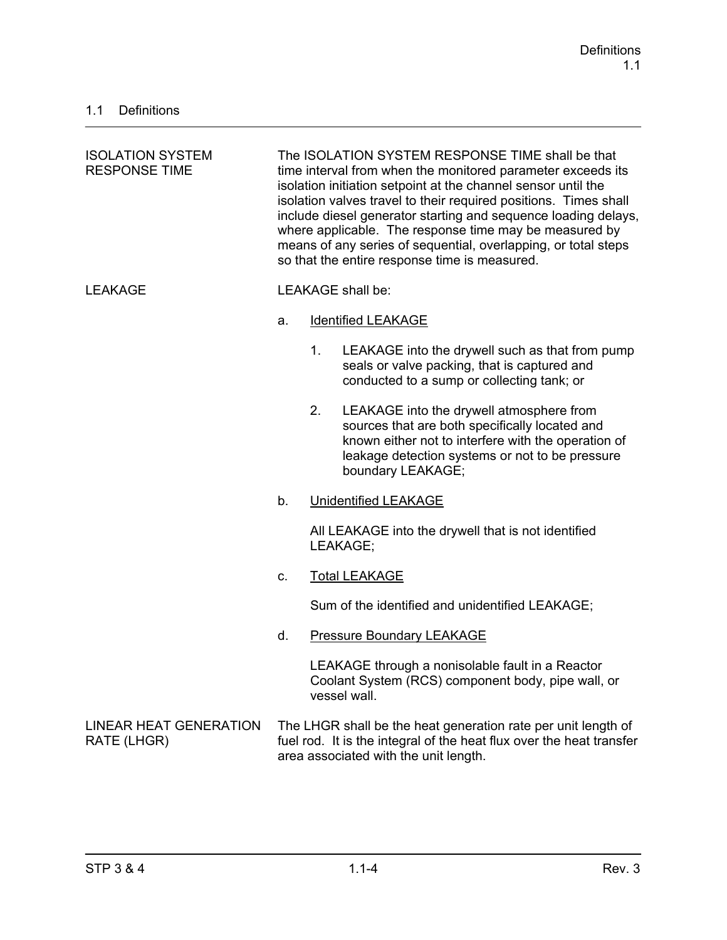| <b>ISOLATION SYSTEM</b><br><b>RESPONSE TIME</b> | The ISOLATION SYSTEM RESPONSE TIME shall be that<br>time interval from when the monitored parameter exceeds its<br>isolation initiation setpoint at the channel sensor until the<br>isolation valves travel to their required positions. Times shall<br>include diesel generator starting and sequence loading delays,<br>where applicable. The response time may be measured by<br>means of any series of sequential, overlapping, or total steps<br>so that the entire response time is measured. |                |                                                                                                                                                                                                                           |
|-------------------------------------------------|-----------------------------------------------------------------------------------------------------------------------------------------------------------------------------------------------------------------------------------------------------------------------------------------------------------------------------------------------------------------------------------------------------------------------------------------------------------------------------------------------------|----------------|---------------------------------------------------------------------------------------------------------------------------------------------------------------------------------------------------------------------------|
| <b>LEAKAGE</b>                                  |                                                                                                                                                                                                                                                                                                                                                                                                                                                                                                     |                | <b>LEAKAGE</b> shall be:                                                                                                                                                                                                  |
|                                                 | a.                                                                                                                                                                                                                                                                                                                                                                                                                                                                                                  |                | <b>Identified LEAKAGE</b>                                                                                                                                                                                                 |
|                                                 |                                                                                                                                                                                                                                                                                                                                                                                                                                                                                                     | 1 <sub>1</sub> | LEAKAGE into the drywell such as that from pump<br>seals or valve packing, that is captured and<br>conducted to a sump or collecting tank; or                                                                             |
|                                                 |                                                                                                                                                                                                                                                                                                                                                                                                                                                                                                     | 2.             | LEAKAGE into the drywell atmosphere from<br>sources that are both specifically located and<br>known either not to interfere with the operation of<br>leakage detection systems or not to be pressure<br>boundary LEAKAGE; |
|                                                 | b.                                                                                                                                                                                                                                                                                                                                                                                                                                                                                                  |                | <b>Unidentified LEAKAGE</b>                                                                                                                                                                                               |
|                                                 |                                                                                                                                                                                                                                                                                                                                                                                                                                                                                                     |                | All LEAKAGE into the drywell that is not identified<br>LEAKAGE;                                                                                                                                                           |
|                                                 | C.                                                                                                                                                                                                                                                                                                                                                                                                                                                                                                  |                | <b>Total LEAKAGE</b>                                                                                                                                                                                                      |
|                                                 |                                                                                                                                                                                                                                                                                                                                                                                                                                                                                                     |                | Sum of the identified and unidentified LEAKAGE;                                                                                                                                                                           |
|                                                 | d.                                                                                                                                                                                                                                                                                                                                                                                                                                                                                                  |                | <b>Pressure Boundary LEAKAGE</b>                                                                                                                                                                                          |
|                                                 |                                                                                                                                                                                                                                                                                                                                                                                                                                                                                                     |                | LEAKAGE through a nonisolable fault in a Reactor<br>Coolant System (RCS) component body, pipe wall, or<br>vessel wall.                                                                                                    |
| <b>LINEAR HEAT GENERATION</b><br>RATE (LHGR)    |                                                                                                                                                                                                                                                                                                                                                                                                                                                                                                     |                | The LHGR shall be the heat generation rate per unit length of<br>fuel rod. It is the integral of the heat flux over the heat transfer<br>area associated with the unit length.                                            |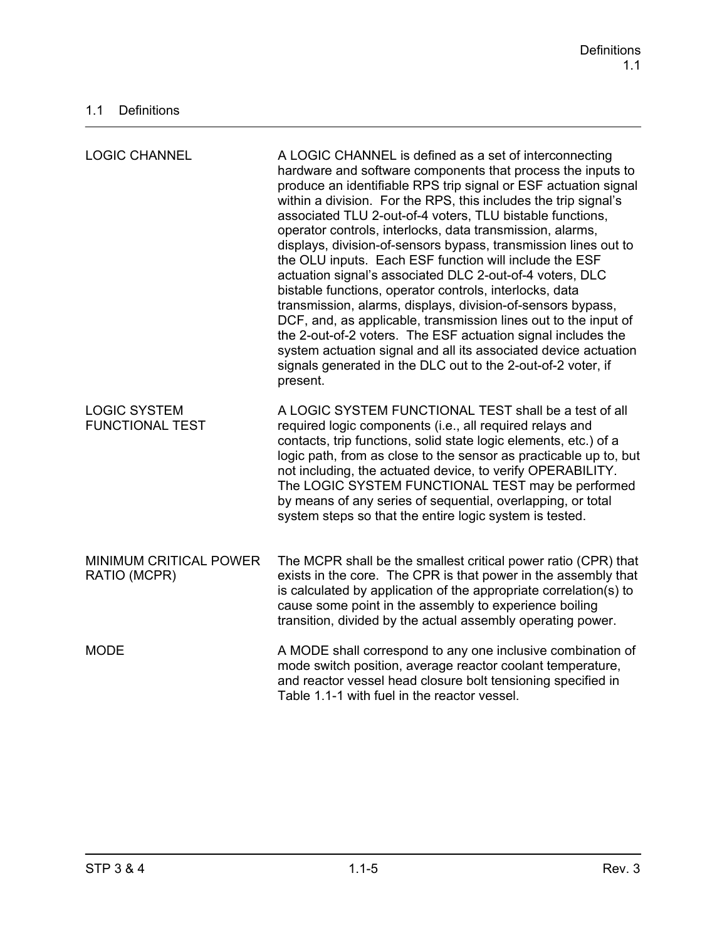| <b>LOGIC CHANNEL</b>                          | A LOGIC CHANNEL is defined as a set of interconnecting<br>hardware and software components that process the inputs to<br>produce an identifiable RPS trip signal or ESF actuation signal<br>within a division. For the RPS, this includes the trip signal's<br>associated TLU 2-out-of-4 voters, TLU bistable functions,<br>operator controls, interlocks, data transmission, alarms,<br>displays, division-of-sensors bypass, transmission lines out to<br>the OLU inputs. Each ESF function will include the ESF<br>actuation signal's associated DLC 2-out-of-4 voters, DLC<br>bistable functions, operator controls, interlocks, data<br>transmission, alarms, displays, division-of-sensors bypass,<br>DCF, and, as applicable, transmission lines out to the input of<br>the 2-out-of-2 voters. The ESF actuation signal includes the<br>system actuation signal and all its associated device actuation<br>signals generated in the DLC out to the 2-out-of-2 voter, if<br>present. |
|-----------------------------------------------|--------------------------------------------------------------------------------------------------------------------------------------------------------------------------------------------------------------------------------------------------------------------------------------------------------------------------------------------------------------------------------------------------------------------------------------------------------------------------------------------------------------------------------------------------------------------------------------------------------------------------------------------------------------------------------------------------------------------------------------------------------------------------------------------------------------------------------------------------------------------------------------------------------------------------------------------------------------------------------------------|
| <b>LOGIC SYSTEM</b><br><b>FUNCTIONAL TEST</b> | A LOGIC SYSTEM FUNCTIONAL TEST shall be a test of all<br>required logic components (i.e., all required relays and<br>contacts, trip functions, solid state logic elements, etc.) of a<br>logic path, from as close to the sensor as practicable up to, but<br>not including, the actuated device, to verify OPERABILITY.<br>The LOGIC SYSTEM FUNCTIONAL TEST may be performed<br>by means of any series of sequential, overlapping, or total<br>system steps so that the entire logic system is tested.                                                                                                                                                                                                                                                                                                                                                                                                                                                                                    |
| MINIMUM CRITICAL POWER<br>RATIO (MCPR)        | The MCPR shall be the smallest critical power ratio (CPR) that<br>exists in the core. The CPR is that power in the assembly that<br>is calculated by application of the appropriate correlation(s) to<br>cause some point in the assembly to experience boiling<br>transition, divided by the actual assembly operating power.                                                                                                                                                                                                                                                                                                                                                                                                                                                                                                                                                                                                                                                             |
| <b>MODE</b>                                   | A MODE shall correspond to any one inclusive combination of<br>mode switch position, average reactor coolant temperature,<br>and reactor vessel head closure bolt tensioning specified in<br>Table 1.1-1 with fuel in the reactor vessel.                                                                                                                                                                                                                                                                                                                                                                                                                                                                                                                                                                                                                                                                                                                                                  |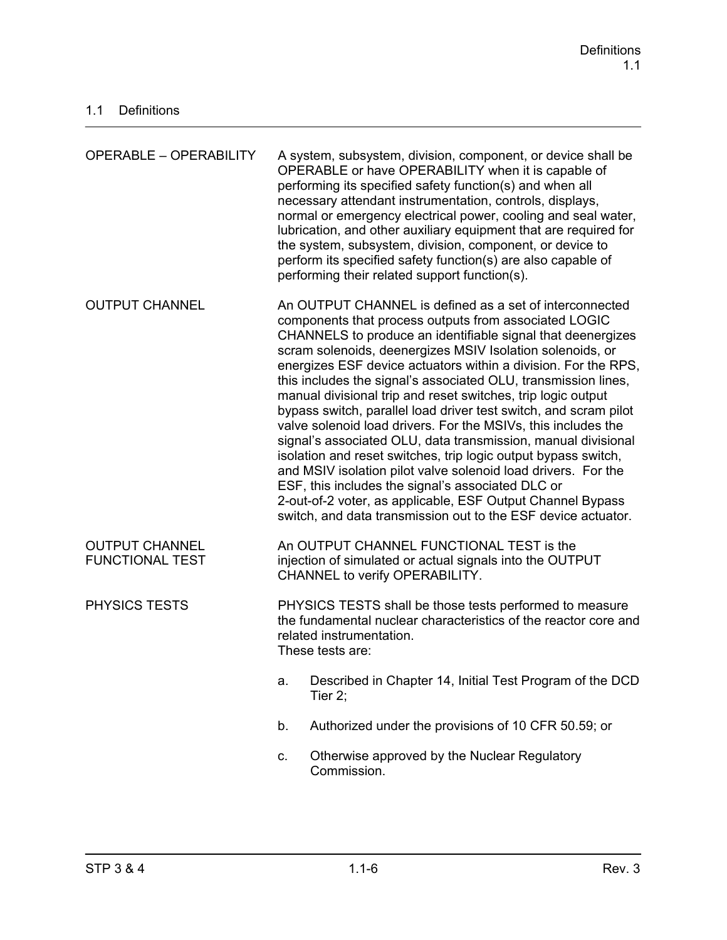| <b>OPERABLE - OPERABILITY</b>                   |                                                                                                                                                                                                                                                                                                                                                                                                                                                                                                                                                                                                                                                                                                                                                                                                                                                                                                                                                                               | A system, subsystem, division, component, or device shall be<br>OPERABLE or have OPERABILITY when it is capable of<br>performing its specified safety function(s) and when all<br>necessary attendant instrumentation, controls, displays,<br>normal or emergency electrical power, cooling and seal water,<br>lubrication, and other auxiliary equipment that are required for<br>the system, subsystem, division, component, or device to<br>perform its specified safety function(s) are also capable of<br>performing their related support function(s). |
|-------------------------------------------------|-------------------------------------------------------------------------------------------------------------------------------------------------------------------------------------------------------------------------------------------------------------------------------------------------------------------------------------------------------------------------------------------------------------------------------------------------------------------------------------------------------------------------------------------------------------------------------------------------------------------------------------------------------------------------------------------------------------------------------------------------------------------------------------------------------------------------------------------------------------------------------------------------------------------------------------------------------------------------------|--------------------------------------------------------------------------------------------------------------------------------------------------------------------------------------------------------------------------------------------------------------------------------------------------------------------------------------------------------------------------------------------------------------------------------------------------------------------------------------------------------------------------------------------------------------|
| <b>OUTPUT CHANNEL</b>                           | An OUTPUT CHANNEL is defined as a set of interconnected<br>components that process outputs from associated LOGIC<br>CHANNELS to produce an identifiable signal that deenergizes<br>scram solenoids, deenergizes MSIV Isolation solenoids, or<br>energizes ESF device actuators within a division. For the RPS,<br>this includes the signal's associated OLU, transmission lines,<br>manual divisional trip and reset switches, trip logic output<br>bypass switch, parallel load driver test switch, and scram pilot<br>valve solenoid load drivers. For the MSIVs, this includes the<br>signal's associated OLU, data transmission, manual divisional<br>isolation and reset switches, trip logic output bypass switch,<br>and MSIV isolation pilot valve solenoid load drivers. For the<br>ESF, this includes the signal's associated DLC or<br>2-out-of-2 voter, as applicable, ESF Output Channel Bypass<br>switch, and data transmission out to the ESF device actuator. |                                                                                                                                                                                                                                                                                                                                                                                                                                                                                                                                                              |
| <b>OUTPUT CHANNEL</b><br><b>FUNCTIONAL TEST</b> |                                                                                                                                                                                                                                                                                                                                                                                                                                                                                                                                                                                                                                                                                                                                                                                                                                                                                                                                                                               | An OUTPUT CHANNEL FUNCTIONAL TEST is the<br>injection of simulated or actual signals into the OUTPUT<br>CHANNEL to verify OPERABILITY.                                                                                                                                                                                                                                                                                                                                                                                                                       |
| <b>PHYSICS TESTS</b>                            | PHYSICS TESTS shall be those tests performed to measure<br>the fundamental nuclear characteristics of the reactor core and<br>related instrumentation.<br>These tests are:                                                                                                                                                                                                                                                                                                                                                                                                                                                                                                                                                                                                                                                                                                                                                                                                    |                                                                                                                                                                                                                                                                                                                                                                                                                                                                                                                                                              |
|                                                 | a.                                                                                                                                                                                                                                                                                                                                                                                                                                                                                                                                                                                                                                                                                                                                                                                                                                                                                                                                                                            | Described in Chapter 14, Initial Test Program of the DCD<br>Tier 2;                                                                                                                                                                                                                                                                                                                                                                                                                                                                                          |
|                                                 | b.                                                                                                                                                                                                                                                                                                                                                                                                                                                                                                                                                                                                                                                                                                                                                                                                                                                                                                                                                                            | Authorized under the provisions of 10 CFR 50.59; or                                                                                                                                                                                                                                                                                                                                                                                                                                                                                                          |
|                                                 | C.                                                                                                                                                                                                                                                                                                                                                                                                                                                                                                                                                                                                                                                                                                                                                                                                                                                                                                                                                                            | Otherwise approved by the Nuclear Regulatory<br>Commission.                                                                                                                                                                                                                                                                                                                                                                                                                                                                                                  |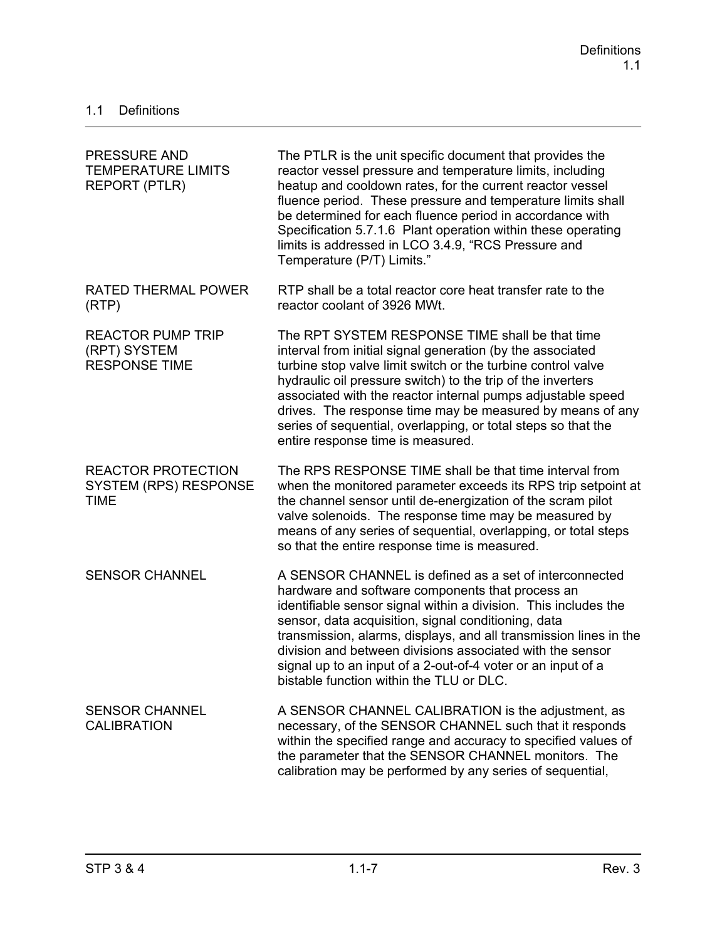| <b>PRESSURE AND</b><br><b>TEMPERATURE LIMITS</b><br><b>REPORT (PTLR)</b> | The PTLR is the unit specific document that provides the<br>reactor vessel pressure and temperature limits, including<br>heatup and cooldown rates, for the current reactor vessel<br>fluence period. These pressure and temperature limits shall<br>be determined for each fluence period in accordance with<br>Specification 5.7.1.6 Plant operation within these operating<br>limits is addressed in LCO 3.4.9, "RCS Pressure and<br>Temperature (P/T) Limits."                 |
|--------------------------------------------------------------------------|------------------------------------------------------------------------------------------------------------------------------------------------------------------------------------------------------------------------------------------------------------------------------------------------------------------------------------------------------------------------------------------------------------------------------------------------------------------------------------|
| <b>RATED THERMAL POWER</b><br>(RTP)                                      | RTP shall be a total reactor core heat transfer rate to the<br>reactor coolant of 3926 MWt.                                                                                                                                                                                                                                                                                                                                                                                        |
| <b>REACTOR PUMP TRIP</b><br>(RPT) SYSTEM<br><b>RESPONSE TIME</b>         | The RPT SYSTEM RESPONSE TIME shall be that time<br>interval from initial signal generation (by the associated<br>turbine stop valve limit switch or the turbine control valve<br>hydraulic oil pressure switch) to the trip of the inverters<br>associated with the reactor internal pumps adjustable speed<br>drives. The response time may be measured by means of any<br>series of sequential, overlapping, or total steps so that the<br>entire response time is measured.     |
| <b>REACTOR PROTECTION</b><br><b>SYSTEM (RPS) RESPONSE</b><br><b>TIME</b> | The RPS RESPONSE TIME shall be that time interval from<br>when the monitored parameter exceeds its RPS trip setpoint at<br>the channel sensor until de-energization of the scram pilot<br>valve solenoids. The response time may be measured by<br>means of any series of sequential, overlapping, or total steps<br>so that the entire response time is measured.                                                                                                                 |
| <b>SENSOR CHANNEL</b>                                                    | A SENSOR CHANNEL is defined as a set of interconnected<br>hardware and software components that process an<br>identifiable sensor signal within a division. This includes the<br>sensor, data acquisition, signal conditioning, data<br>transmission, alarms, displays, and all transmission lines in the<br>division and between divisions associated with the sensor<br>signal up to an input of a 2-out-of-4 voter or an input of a<br>bistable function within the TLU or DLC. |
| <b>SENSOR CHANNEL</b><br><b>CALIBRATION</b>                              | A SENSOR CHANNEL CALIBRATION is the adjustment, as<br>necessary, of the SENSOR CHANNEL such that it responds<br>within the specified range and accuracy to specified values of<br>the parameter that the SENSOR CHANNEL monitors. The<br>calibration may be performed by any series of sequential,                                                                                                                                                                                 |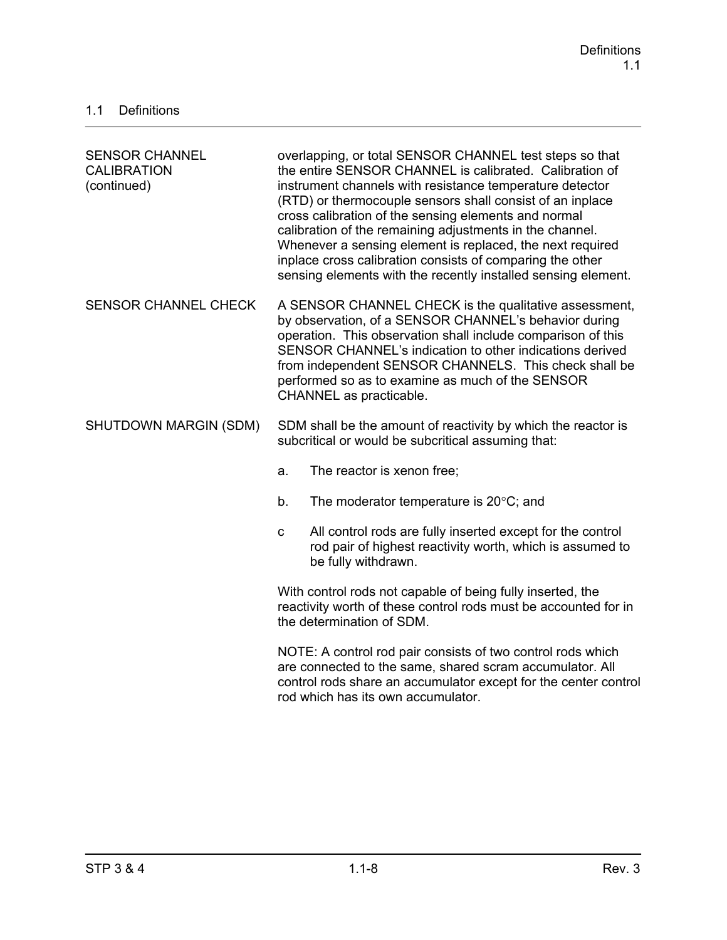| <b>SENSOR CHANNEL</b><br><b>CALIBRATION</b><br>(continued) | overlapping, or total SENSOR CHANNEL test steps so that<br>the entire SENSOR CHANNEL is calibrated. Calibration of<br>instrument channels with resistance temperature detector<br>(RTD) or thermocouple sensors shall consist of an inplace<br>cross calibration of the sensing elements and normal<br>calibration of the remaining adjustments in the channel.<br>Whenever a sensing element is replaced, the next required<br>inplace cross calibration consists of comparing the other<br>sensing elements with the recently installed sensing element. |
|------------------------------------------------------------|------------------------------------------------------------------------------------------------------------------------------------------------------------------------------------------------------------------------------------------------------------------------------------------------------------------------------------------------------------------------------------------------------------------------------------------------------------------------------------------------------------------------------------------------------------|
| <b>SENSOR CHANNEL CHECK</b>                                | A SENSOR CHANNEL CHECK is the qualitative assessment,<br>by observation, of a SENSOR CHANNEL's behavior during<br>operation. This observation shall include comparison of this<br>SENSOR CHANNEL's indication to other indications derived<br>from independent SENSOR CHANNELS. This check shall be<br>performed so as to examine as much of the SENSOR<br>CHANNEL as practicable.                                                                                                                                                                         |
| SHUTDOWN MARGIN (SDM)                                      | SDM shall be the amount of reactivity by which the reactor is<br>subcritical or would be subcritical assuming that:                                                                                                                                                                                                                                                                                                                                                                                                                                        |
|                                                            | The reactor is xenon free;<br>a.                                                                                                                                                                                                                                                                                                                                                                                                                                                                                                                           |
|                                                            | The moderator temperature is $20^{\circ}$ C; and<br>b.                                                                                                                                                                                                                                                                                                                                                                                                                                                                                                     |
|                                                            | All control rods are fully inserted except for the control<br>$\mathbf C$<br>rod pair of highest reactivity worth, which is assumed to<br>be fully withdrawn.                                                                                                                                                                                                                                                                                                                                                                                              |
|                                                            | With control rods not capable of being fully inserted, the<br>reactivity worth of these control rods must be accounted for in<br>the determination of SDM.                                                                                                                                                                                                                                                                                                                                                                                                 |
|                                                            | NOTE: A control rod pair consists of two control rods which<br>are connected to the same, shared scram accumulator. All<br>control rods share an accumulator except for the center control<br>rod which has its own accumulator.                                                                                                                                                                                                                                                                                                                           |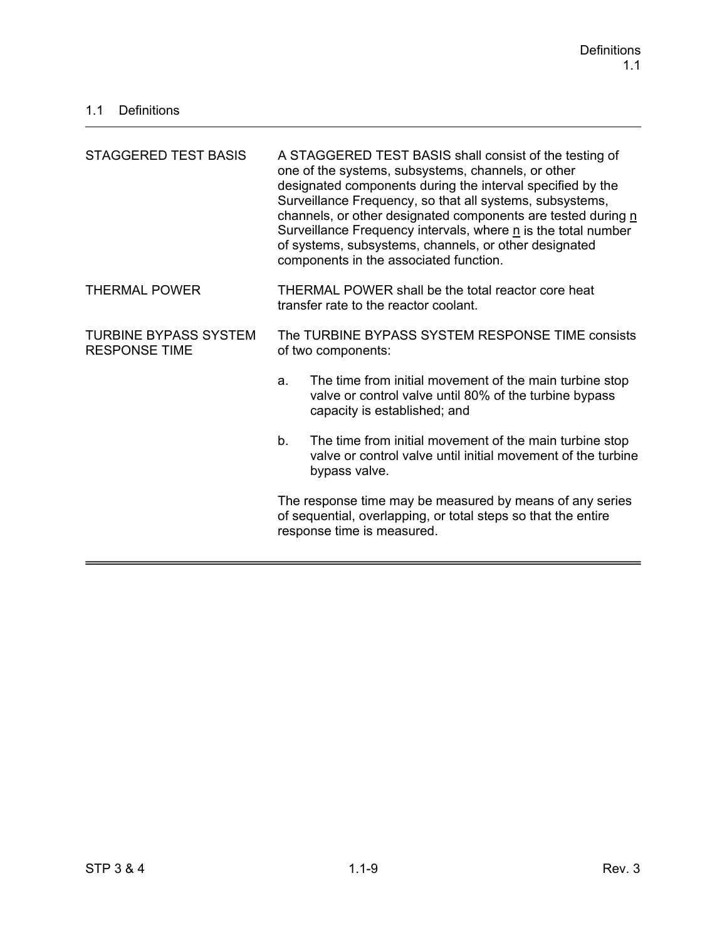| STAGGERED TEST BASIS                                 | A STAGGERED TEST BASIS shall consist of the testing of<br>one of the systems, subsystems, channels, or other<br>designated components during the interval specified by the<br>Surveillance Frequency, so that all systems, subsystems,<br>channels, or other designated components are tested during n<br>Surveillance Frequency intervals, where n is the total number<br>of systems, subsystems, channels, or other designated<br>components in the associated function. |  |
|------------------------------------------------------|----------------------------------------------------------------------------------------------------------------------------------------------------------------------------------------------------------------------------------------------------------------------------------------------------------------------------------------------------------------------------------------------------------------------------------------------------------------------------|--|
| <b>THERMAL POWER</b>                                 | THERMAL POWER shall be the total reactor core heat<br>transfer rate to the reactor coolant.                                                                                                                                                                                                                                                                                                                                                                                |  |
| <b>TURBINE BYPASS SYSTEM</b><br><b>RESPONSE TIME</b> | The TURBINE BYPASS SYSTEM RESPONSE TIME consists<br>of two components:                                                                                                                                                                                                                                                                                                                                                                                                     |  |
|                                                      | The time from initial movement of the main turbine stop<br>a.<br>valve or control valve until 80% of the turbine bypass<br>capacity is established; and                                                                                                                                                                                                                                                                                                                    |  |
|                                                      | b.<br>The time from initial movement of the main turbine stop<br>valve or control valve until initial movement of the turbine<br>bypass valve.                                                                                                                                                                                                                                                                                                                             |  |
|                                                      | The response time may be measured by means of any series<br>of sequential, overlapping, or total steps so that the entire<br>response time is measured.                                                                                                                                                                                                                                                                                                                    |  |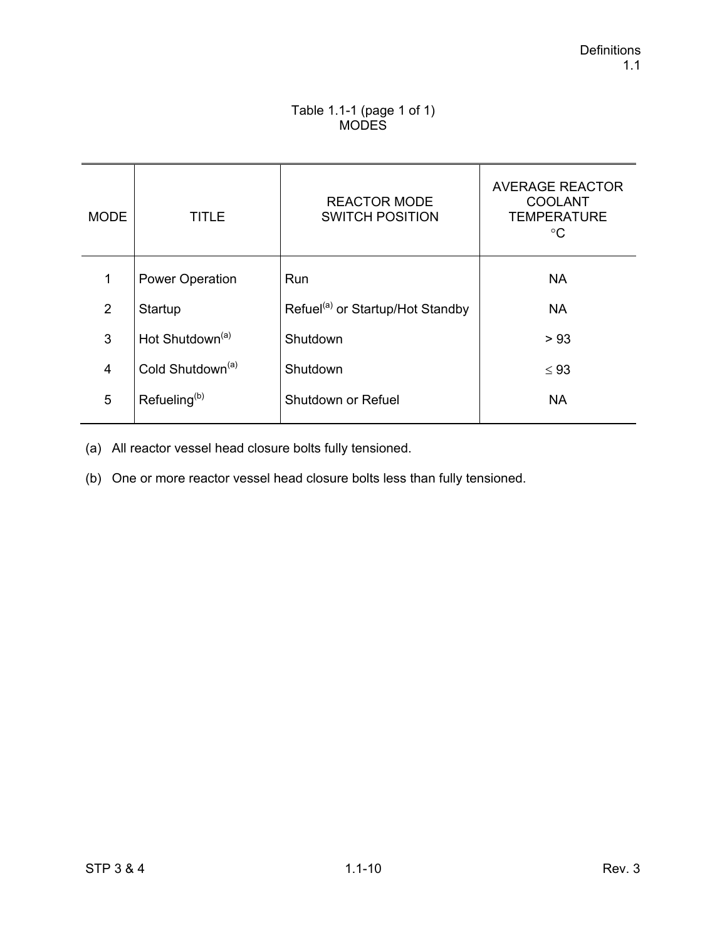### Table 1.1-1 (page 1 of 1) MODES

| <b>MODE</b>    | TITLE                        | <b>REACTOR MODE</b><br><b>SWITCH POSITION</b> | <b>AVERAGE REACTOR</b><br><b>COOLANT</b><br><b>TEMPERATURE</b><br>°C |
|----------------|------------------------------|-----------------------------------------------|----------------------------------------------------------------------|
| 1              | <b>Power Operation</b>       | Run                                           | <b>NA</b>                                                            |
| 2              | Startup                      | Refuel <sup>(a)</sup> or Startup/Hot Standby  | <b>NA</b>                                                            |
| 3              | Hot Shutdown <sup>(a)</sup>  | Shutdown                                      | > 93                                                                 |
| $\overline{4}$ | Cold Shutdown <sup>(a)</sup> | Shutdown                                      | $\leq 93$                                                            |
| 5              | Refueling <sup>(b)</sup>     | Shutdown or Refuel                            | <b>NA</b>                                                            |

(a) All reactor vessel head closure bolts fully tensioned.

(b) One or more reactor vessel head closure bolts less than fully tensioned.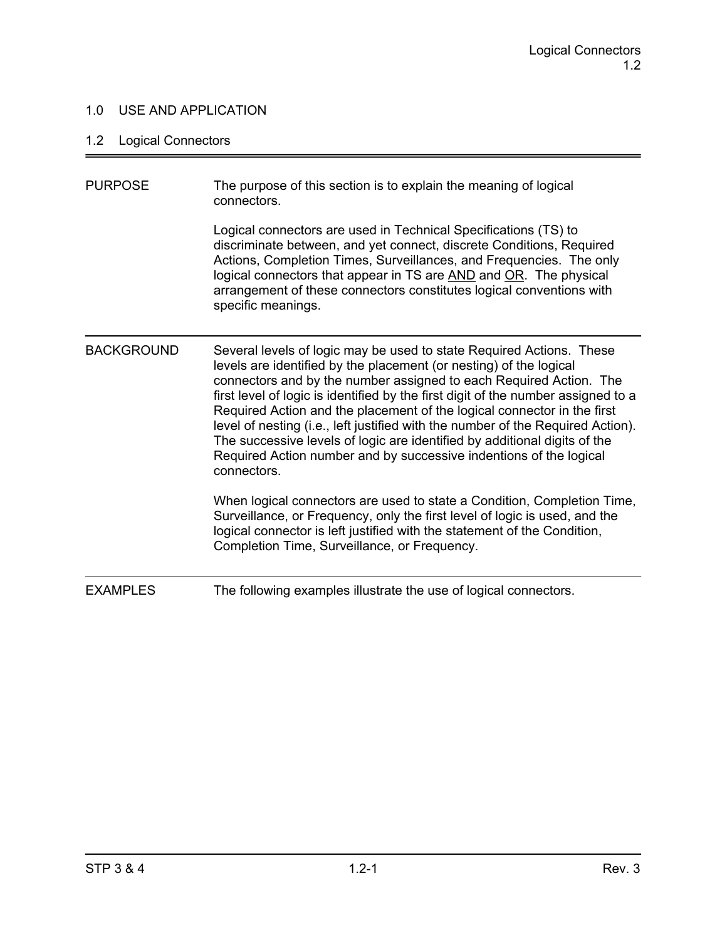### 1.0 USE AND APPLICATION

# 1.2 Logical Connectors

| <b>PURPOSE</b>    | The purpose of this section is to explain the meaning of logical<br>connectors.                                                                                                                                                                                                                                                                                                                                                                                                                                                                                                                                                       |
|-------------------|---------------------------------------------------------------------------------------------------------------------------------------------------------------------------------------------------------------------------------------------------------------------------------------------------------------------------------------------------------------------------------------------------------------------------------------------------------------------------------------------------------------------------------------------------------------------------------------------------------------------------------------|
|                   | Logical connectors are used in Technical Specifications (TS) to<br>discriminate between, and yet connect, discrete Conditions, Required<br>Actions, Completion Times, Surveillances, and Frequencies. The only<br>logical connectors that appear in TS are AND and OR. The physical<br>arrangement of these connectors constitutes logical conventions with<br>specific meanings.                                                                                                                                                                                                                                                     |
| <b>BACKGROUND</b> | Several levels of logic may be used to state Required Actions. These<br>levels are identified by the placement (or nesting) of the logical<br>connectors and by the number assigned to each Required Action. The<br>first level of logic is identified by the first digit of the number assigned to a<br>Required Action and the placement of the logical connector in the first<br>level of nesting (i.e., left justified with the number of the Required Action).<br>The successive levels of logic are identified by additional digits of the<br>Required Action number and by successive indentions of the logical<br>connectors. |
|                   | When logical connectors are used to state a Condition, Completion Time,<br>Surveillance, or Frequency, only the first level of logic is used, and the<br>logical connector is left justified with the statement of the Condition,<br>Completion Time, Surveillance, or Frequency.                                                                                                                                                                                                                                                                                                                                                     |
| <b>EXAMPLES</b>   | The following examples illustrate the use of logical connectors.                                                                                                                                                                                                                                                                                                                                                                                                                                                                                                                                                                      |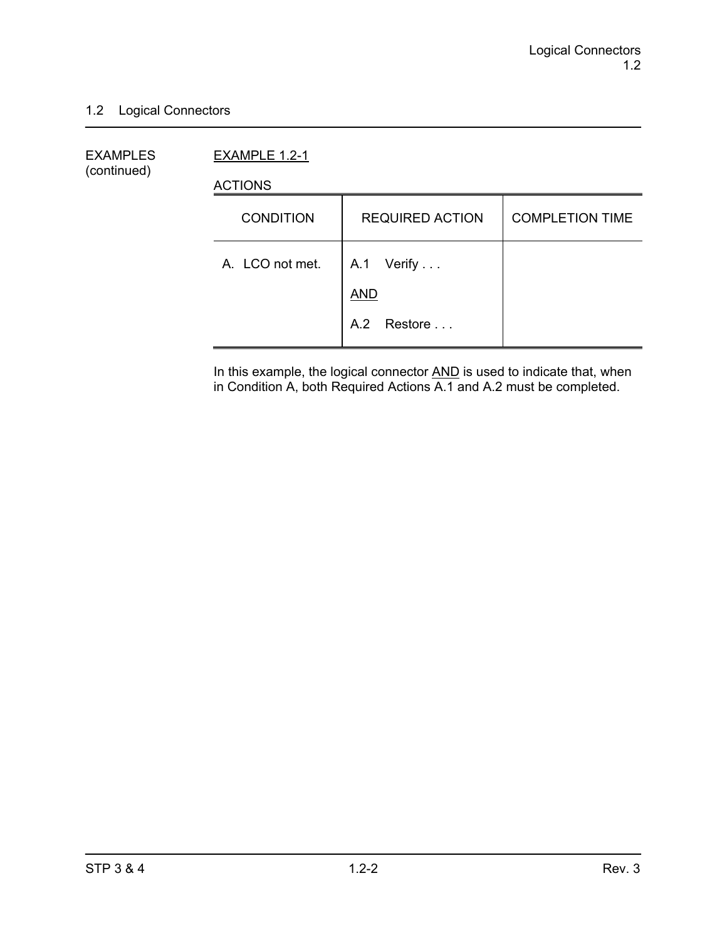### 1.2 Logical Connectors

EXAMPLES EXAMPLE 1.2-1 (continued)

ACTIONS

| <b>CONDITION</b> | <b>REQUIRED ACTION</b>   | <b>COMPLETION TIME</b> |
|------------------|--------------------------|------------------------|
| A. LCO not met.  | A.1 Verify<br><b>AND</b> |                        |
|                  | A.2 Restore              |                        |

In this example, the logical connector **AND** is used to indicate that, when in Condition A, both Required Actions A.1 and A.2 must be completed.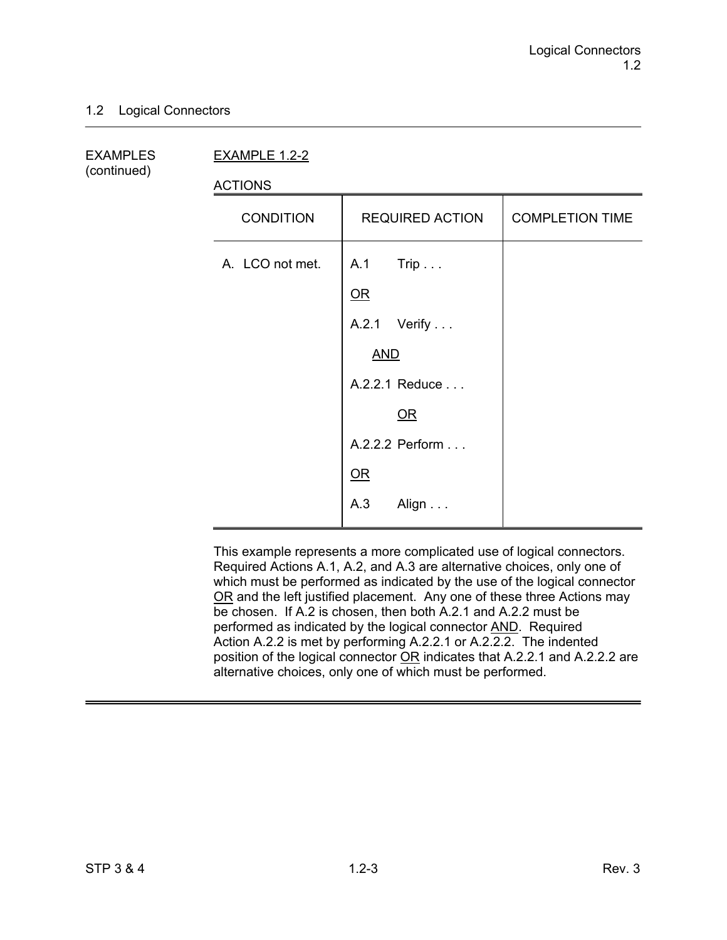### 1.2 Logical Connectors

(continued)

EXAMPLES EXAMPLE 1.2-2

ACTIONS

| , , , , , , , , , |                        |                        |
|-------------------|------------------------|------------------------|
| <b>CONDITION</b>  | <b>REQUIRED ACTION</b> | <b>COMPLETION TIME</b> |
| A. LCO not met.   | A.1 Trip               |                        |
|                   | $OR$                   |                        |
|                   | A.2.1 Verify           |                        |
|                   | <b>AND</b>             |                        |
|                   | A.2.2.1 Reduce         |                        |
|                   | QR                     |                        |
|                   | A.2.2.2 Perform        |                        |
|                   | OR                     |                        |
|                   | A.3<br>Align           |                        |

This example represents a more complicated use of logical connectors. Required Actions A.1, A.2, and A.3 are alternative choices, only one of which must be performed as indicated by the use of the logical connector OR and the left justified placement. Any one of these three Actions may be chosen. If A.2 is chosen, then both A.2.1 and A.2.2 must be performed as indicated by the logical connector AND. Required Action A.2.2 is met by performing A.2.2.1 or A.2.2.2. The indented position of the logical connector OR indicates that A.2.2.1 and A.2.2.2 are alternative choices, only one of which must be performed.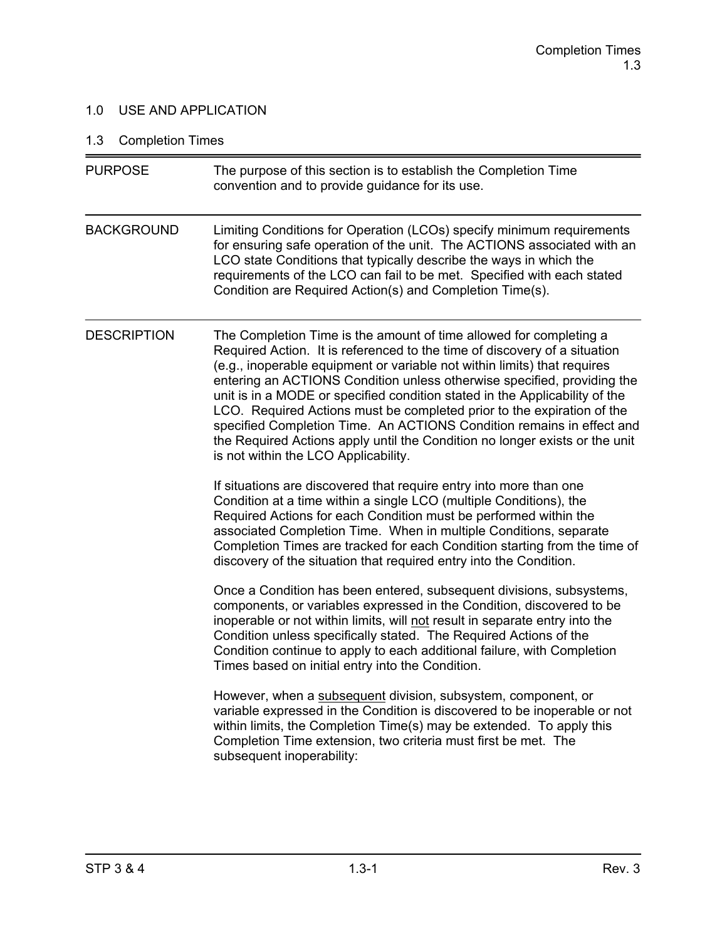### 1.0 USE AND APPLICATION

# 1.3 Completion Times

| <b>PURPOSE</b>     | The purpose of this section is to establish the Completion Time<br>convention and to provide guidance for its use.                                                                                                                                                                                                                                                                                                                                                                                                                                                                                                                                              |
|--------------------|-----------------------------------------------------------------------------------------------------------------------------------------------------------------------------------------------------------------------------------------------------------------------------------------------------------------------------------------------------------------------------------------------------------------------------------------------------------------------------------------------------------------------------------------------------------------------------------------------------------------------------------------------------------------|
| <b>BACKGROUND</b>  | Limiting Conditions for Operation (LCOs) specify minimum requirements<br>for ensuring safe operation of the unit. The ACTIONS associated with an<br>LCO state Conditions that typically describe the ways in which the<br>requirements of the LCO can fail to be met. Specified with each stated<br>Condition are Required Action(s) and Completion Time(s).                                                                                                                                                                                                                                                                                                    |
| <b>DESCRIPTION</b> | The Completion Time is the amount of time allowed for completing a<br>Required Action. It is referenced to the time of discovery of a situation<br>(e.g., inoperable equipment or variable not within limits) that requires<br>entering an ACTIONS Condition unless otherwise specified, providing the<br>unit is in a MODE or specified condition stated in the Applicability of the<br>LCO. Required Actions must be completed prior to the expiration of the<br>specified Completion Time. An ACTIONS Condition remains in effect and<br>the Required Actions apply until the Condition no longer exists or the unit<br>is not within the LCO Applicability. |
|                    | If situations are discovered that require entry into more than one<br>Condition at a time within a single LCO (multiple Conditions), the<br>Required Actions for each Condition must be performed within the<br>associated Completion Time. When in multiple Conditions, separate<br>Completion Times are tracked for each Condition starting from the time of<br>discovery of the situation that required entry into the Condition.                                                                                                                                                                                                                            |
|                    | Once a Condition has been entered, subsequent divisions, subsystems,<br>components, or variables expressed in the Condition, discovered to be<br>inoperable or not within limits, will not result in separate entry into the<br>Condition unless specifically stated. The Required Actions of the<br>Condition continue to apply to each additional failure, with Completion<br>Times based on initial entry into the Condition.                                                                                                                                                                                                                                |
|                    | However, when a subsequent division, subsystem, component, or<br>variable expressed in the Condition is discovered to be inoperable or not<br>within limits, the Completion Time(s) may be extended. To apply this<br>Completion Time extension, two criteria must first be met. The<br>subsequent inoperability:                                                                                                                                                                                                                                                                                                                                               |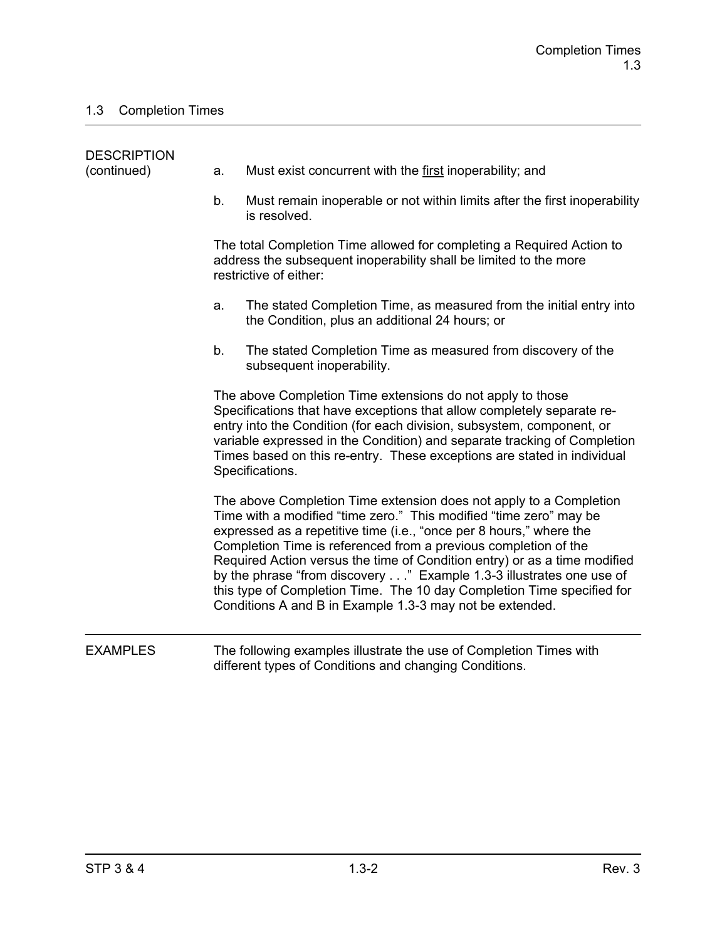| <b>DESCRIPTION</b><br>(continued) | a. | Must exist concurrent with the first inoperability; and                                                                                                                                                                                                                                                                                                                                                                                                                                                                                                                      |
|-----------------------------------|----|------------------------------------------------------------------------------------------------------------------------------------------------------------------------------------------------------------------------------------------------------------------------------------------------------------------------------------------------------------------------------------------------------------------------------------------------------------------------------------------------------------------------------------------------------------------------------|
|                                   | b. | Must remain inoperable or not within limits after the first inoperability<br>is resolved.                                                                                                                                                                                                                                                                                                                                                                                                                                                                                    |
|                                   |    | The total Completion Time allowed for completing a Required Action to<br>address the subsequent inoperability shall be limited to the more<br>restrictive of either:                                                                                                                                                                                                                                                                                                                                                                                                         |
|                                   | a. | The stated Completion Time, as measured from the initial entry into<br>the Condition, plus an additional 24 hours; or                                                                                                                                                                                                                                                                                                                                                                                                                                                        |
|                                   | b. | The stated Completion Time as measured from discovery of the<br>subsequent inoperability.                                                                                                                                                                                                                                                                                                                                                                                                                                                                                    |
|                                   |    | The above Completion Time extensions do not apply to those<br>Specifications that have exceptions that allow completely separate re-<br>entry into the Condition (for each division, subsystem, component, or<br>variable expressed in the Condition) and separate tracking of Completion<br>Times based on this re-entry. These exceptions are stated in individual<br>Specifications.                                                                                                                                                                                      |
|                                   |    | The above Completion Time extension does not apply to a Completion<br>Time with a modified "time zero." This modified "time zero" may be<br>expressed as a repetitive time (i.e., "once per 8 hours," where the<br>Completion Time is referenced from a previous completion of the<br>Required Action versus the time of Condition entry) or as a time modified<br>by the phrase "from discovery" Example 1.3-3 illustrates one use of<br>this type of Completion Time. The 10 day Completion Time specified for<br>Conditions A and B in Example 1.3-3 may not be extended. |
| <b>EXAMPLES</b>                   |    | The following examples illustrate the use of Completion Times with<br>different types of Conditions and changing Conditions.                                                                                                                                                                                                                                                                                                                                                                                                                                                 |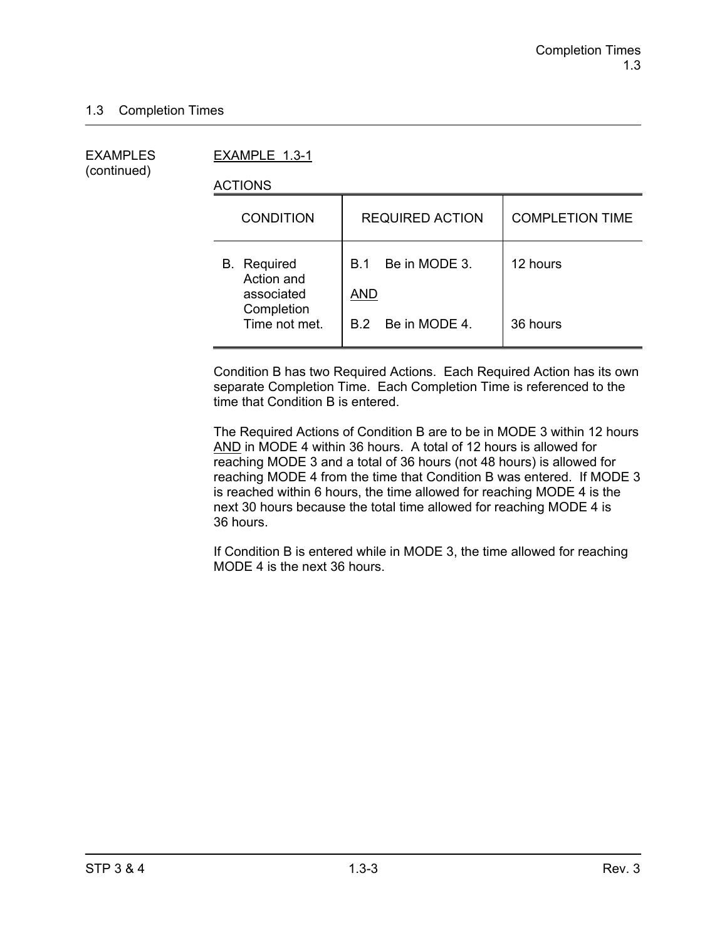(continued)

EXAMPLES EXAMPLE 1.3-1

ACTIONS

| <b>CONDITION</b>                               | <b>REQUIRED ACTION</b>             | <b>COMPLETION TIME</b> |
|------------------------------------------------|------------------------------------|------------------------|
| <b>B.</b> Required<br>Action and<br>associated | Be in MODE 3.<br>B.1<br><b>AND</b> | 12 hours               |
| Completion<br>Time not met.                    | B.2 Be in MODE 4.                  | 36 hours               |

Condition B has two Required Actions. Each Required Action has its own separate Completion Time. Each Completion Time is referenced to the time that Condition B is entered.

The Required Actions of Condition B are to be in MODE 3 within 12 hours AND in MODE 4 within 36 hours. A total of 12 hours is allowed for reaching MODE 3 and a total of 36 hours (not 48 hours) is allowed for reaching MODE 4 from the time that Condition B was entered. If MODE 3 is reached within 6 hours, the time allowed for reaching MODE 4 is the next 30 hours because the total time allowed for reaching MODE 4 is 36 hours.

If Condition B is entered while in MODE 3, the time allowed for reaching MODE 4 is the next 36 hours.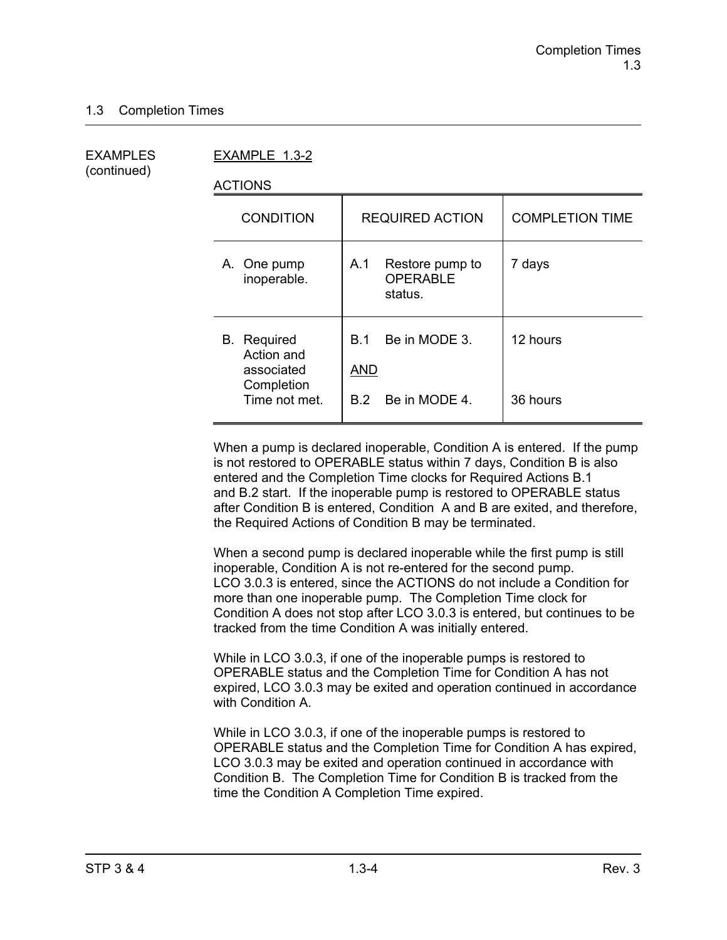(continued)

EXAMPLES EXAMPLE 1.3-2

ACTIONS

| <b>CONDITION</b>                                                              | <b>REQUIRED ACTION</b>                                     | <b>COMPLETION TIME</b> |
|-------------------------------------------------------------------------------|------------------------------------------------------------|------------------------|
| A. One pump<br>inoperable.                                                    | Restore pump to<br>A.1<br><b>OPERABLE</b><br>status.       | 7 days                 |
| <b>B.</b> Required<br>Action and<br>associated<br>Completion<br>Time not met. | Be in MODE 3.<br>B 1<br><b>AND</b><br>Be in MODE 4.<br>B.2 | 12 hours<br>36 hours   |
|                                                                               |                                                            |                        |

When a pump is declared inoperable, Condition A is entered. If the pump is not restored to OPERABLE status within 7 days, Condition B is also entered and the Completion Time clocks for Required Actions B.1 and B.2 start. If the inoperable pump is restored to OPERABLE status after Condition B is entered, Condition A and B are exited, and therefore, the Required Actions of Condition B may be terminated.

When a second pump is declared inoperable while the first pump is still inoperable, Condition A is not re-entered for the second pump. LCO 3.0.3 is entered, since the ACTIONS do not include a Condition for more than one inoperable pump. The Completion Time clock for Condition A does not stop after LCO 3.0.3 is entered, but continues to be tracked from the time Condition A was initially entered.

While in LCO 3.0.3, if one of the inoperable pumps is restored to OPERABLE status and the Completion Time for Condition A has not expired, LCO 3.0.3 may be exited and operation continued in accordance with Condition A.

While in LCO 3.0.3, if one of the inoperable pumps is restored to OPERABLE status and the Completion Time for Condition A has expired, LCO 3.0.3 may be exited and operation continued in accordance with Condition B. The Completion Time for Condition B is tracked from the time the Condition A Completion Time expired.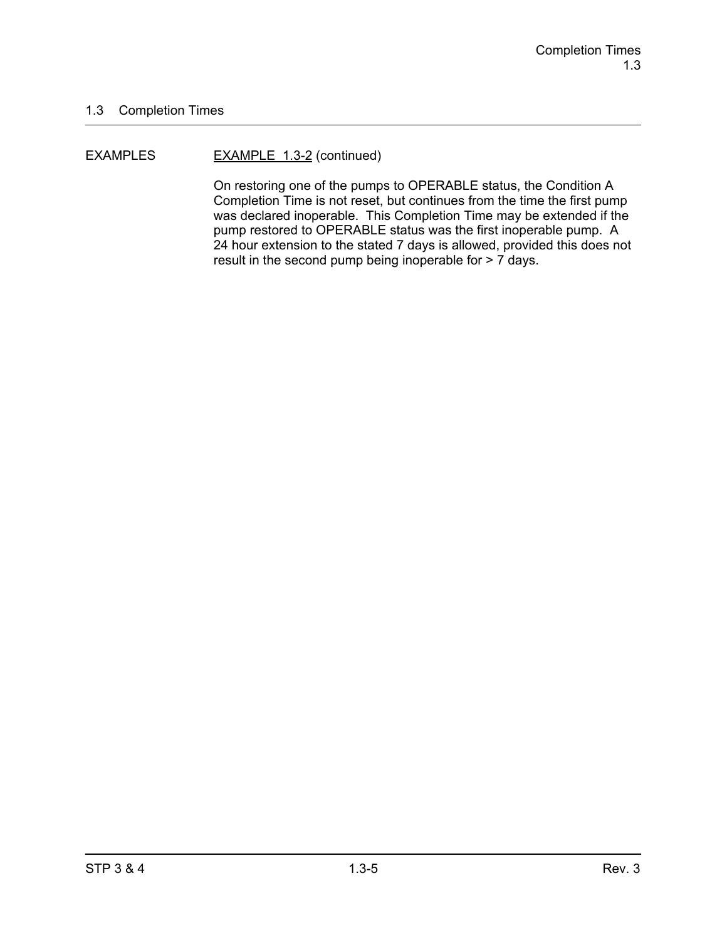#### EXAMPLES EXAMPLE 1.3-2 (continued)

On restoring one of the pumps to OPERABLE status, the Condition A Completion Time is not reset, but continues from the time the first pump was declared inoperable. This Completion Time may be extended if the pump restored to OPERABLE status was the first inoperable pump. A 24 hour extension to the stated 7 days is allowed, provided this does not result in the second pump being inoperable for > 7 days.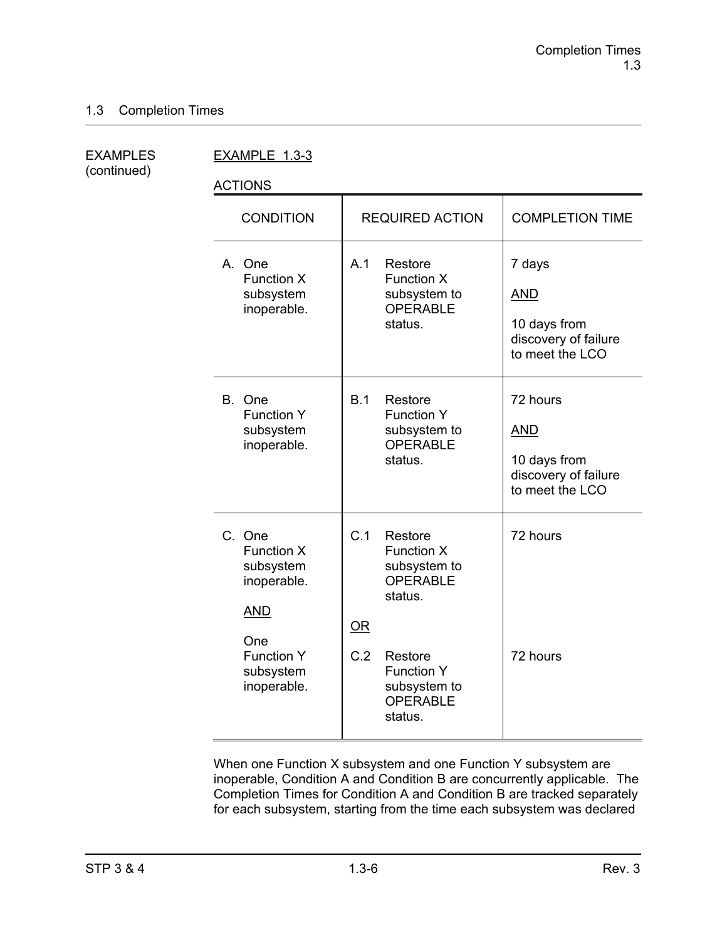(continued)

EXAMPLES EXAMPLE 1.3-3

ACTIONS

| <b>CONDITION</b>                                                                                                              | <b>REQUIRED ACTION</b>                                                                                                                                         | <b>COMPLETION TIME</b>                                                            |
|-------------------------------------------------------------------------------------------------------------------------------|----------------------------------------------------------------------------------------------------------------------------------------------------------------|-----------------------------------------------------------------------------------|
| A. One<br><b>Function X</b><br>subsystem<br>inoperable.                                                                       | A.1<br>Restore<br><b>Function X</b><br>subsystem to<br><b>OPERABLE</b><br>status.                                                                              | 7 days<br><b>AND</b><br>10 days from<br>discovery of failure<br>to meet the LCO   |
| B. One<br><b>Function Y</b><br>subsystem<br>inoperable.                                                                       | B.1<br>Restore<br><b>Function Y</b><br>subsystem to<br><b>OPERABLE</b><br>status.                                                                              | 72 hours<br><b>AND</b><br>10 days from<br>discovery of failure<br>to meet the LCO |
| C. One<br><b>Function X</b><br>subsystem<br>inoperable.<br><b>AND</b><br>One<br><b>Function Y</b><br>subsystem<br>inoperable. | C.1<br>Restore<br>Function X<br>subsystem to<br>OPERABLE<br>status.<br>OR<br>C.2<br>Restore<br><b>Function Y</b><br>subsystem to<br><b>OPERABLE</b><br>status. | 72 hours<br>72 hours                                                              |

When one Function X subsystem and one Function Y subsystem are inoperable, Condition A and Condition B are concurrently applicable. The Completion Times for Condition A and Condition B are tracked separately for each subsystem, starting from the time each subsystem was declared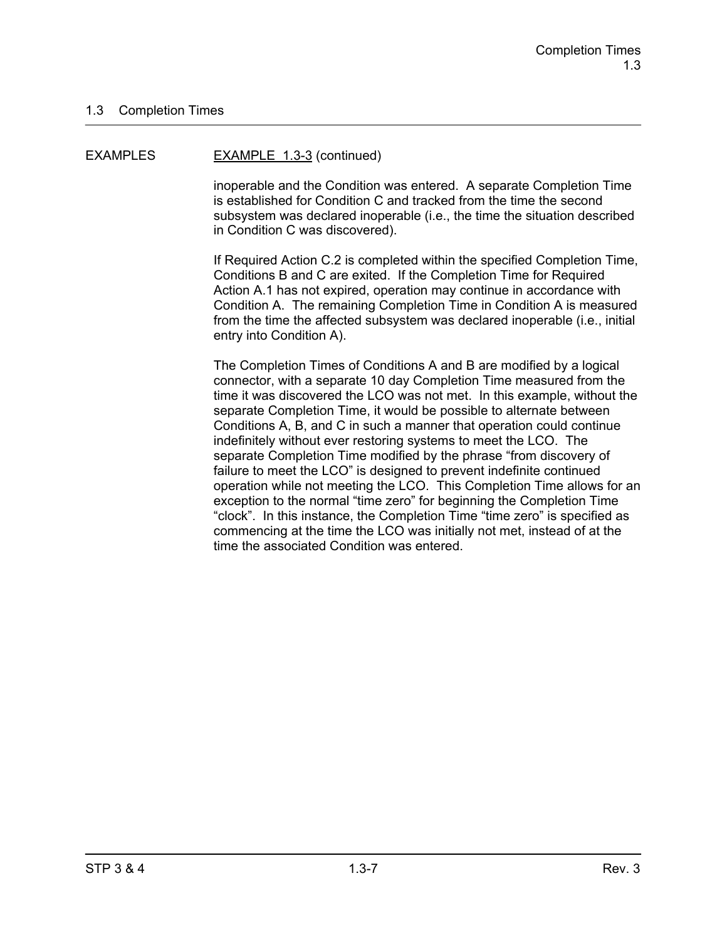#### EXAMPLES EXAMPLE 1.3-3 (continued)

inoperable and the Condition was entered. A separate Completion Time is established for Condition C and tracked from the time the second subsystem was declared inoperable (i.e., the time the situation described in Condition C was discovered).

If Required Action C.2 is completed within the specified Completion Time, Conditions B and C are exited. If the Completion Time for Required Action A.1 has not expired, operation may continue in accordance with Condition A. The remaining Completion Time in Condition A is measured from the time the affected subsystem was declared inoperable (i.e., initial entry into Condition A).

The Completion Times of Conditions A and B are modified by a logical connector, with a separate 10 day Completion Time measured from the time it was discovered the LCO was not met. In this example, without the separate Completion Time, it would be possible to alternate between Conditions A, B, and C in such a manner that operation could continue indefinitely without ever restoring systems to meet the LCO. The separate Completion Time modified by the phrase "from discovery of failure to meet the LCO" is designed to prevent indefinite continued operation while not meeting the LCO. This Completion Time allows for an exception to the normal "time zero" for beginning the Completion Time "clock". In this instance, the Completion Time "time zero" is specified as commencing at the time the LCO was initially not met, instead of at the time the associated Condition was entered.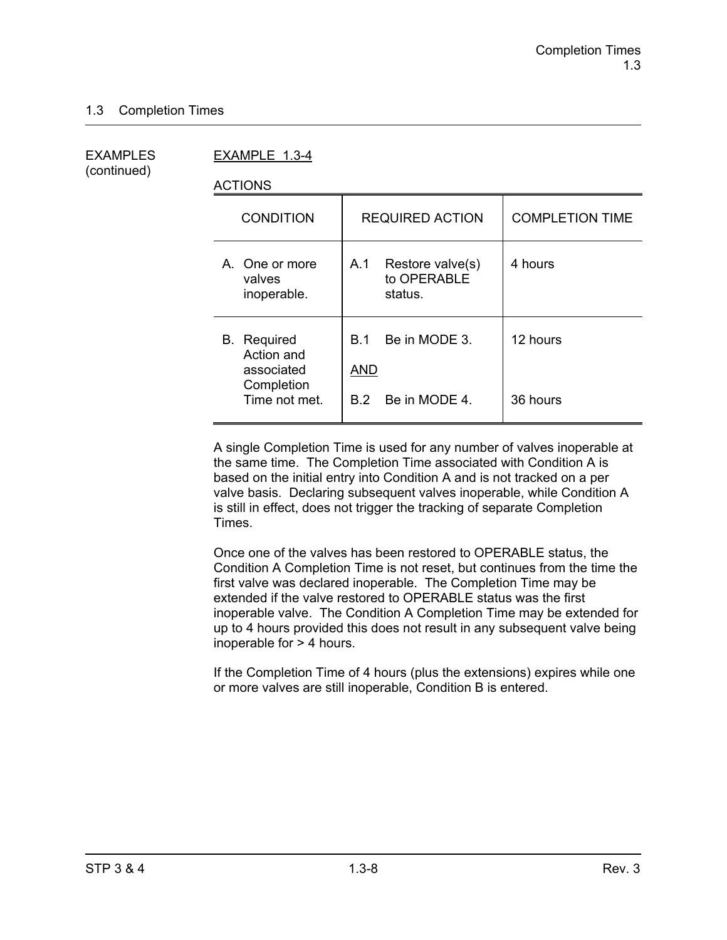(continued)

EXAMPLES EXAMPLE 1.3-4

ACTIONS

| <b>CONDITION</b>                                                              | <b>REQUIRED ACTION</b>                                     | <b>COMPLETION TIME</b> |
|-------------------------------------------------------------------------------|------------------------------------------------------------|------------------------|
| A. One or more<br>valves<br>inoperable.                                       | Restore valve(s)<br>A.1<br>to OPERABLE<br>status.          | 4 hours                |
| <b>B.</b> Required<br>Action and<br>associated<br>Completion<br>Time not met. | Be in MODE 3.<br><b>B</b> 1<br>AND<br>Be in MODE 4.<br>B 2 | 12 hours<br>36 hours   |
|                                                                               |                                                            |                        |

A single Completion Time is used for any number of valves inoperable at the same time. The Completion Time associated with Condition A is based on the initial entry into Condition A and is not tracked on a per valve basis. Declaring subsequent valves inoperable, while Condition A is still in effect, does not trigger the tracking of separate Completion Times.

Once one of the valves has been restored to OPERABLE status, the Condition A Completion Time is not reset, but continues from the time the first valve was declared inoperable. The Completion Time may be extended if the valve restored to OPERABLE status was the first inoperable valve. The Condition A Completion Time may be extended for up to 4 hours provided this does not result in any subsequent valve being inoperable for > 4 hours.

If the Completion Time of 4 hours (plus the extensions) expires while one or more valves are still inoperable, Condition B is entered.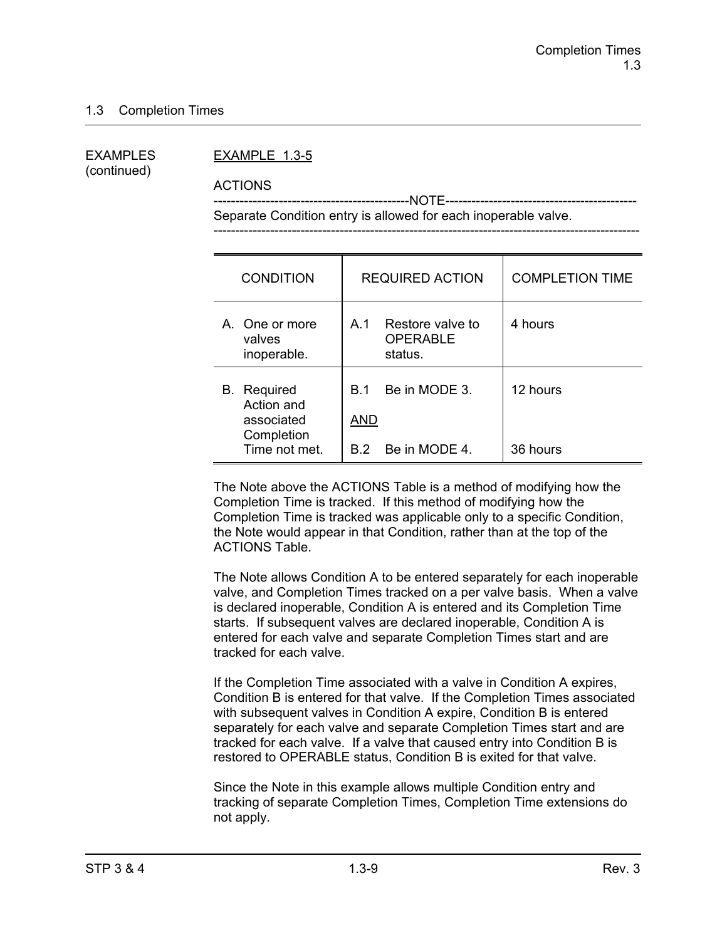(continued)

#### EXAMPLES EXAMPLE 1.3-5

ACTIONS

 ---------------------------------------------NOTE-------------------------------------------- Separate Condition entry is allowed for each inoperable valve.

| <b>CONDITION</b>                                                              | <b>REQUIRED ACTION</b>                                         | <b>COMPLETION TIME</b> |
|-------------------------------------------------------------------------------|----------------------------------------------------------------|------------------------|
| A. One or more<br>valves<br>inoperable.                                       | Restore valve to<br>A.1<br><b>OPERABLE</b><br>status.          | 4 hours                |
| <b>B.</b> Required<br>Action and<br>associated<br>Completion<br>Time not met. | Be in MODE 3.<br><b>B</b> 1<br><b>AND</b><br>B.2 Be in MODE 4. | 12 hours<br>36 hours   |

The Note above the ACTIONS Table is a method of modifying how the Completion Time is tracked. If this method of modifying how the Completion Time is tracked was applicable only to a specific Condition, the Note would appear in that Condition, rather than at the top of the ACTIONS Table.

The Note allows Condition A to be entered separately for each inoperable valve, and Completion Times tracked on a per valve basis. When a valve is declared inoperable, Condition A is entered and its Completion Time starts. If subsequent valves are declared inoperable, Condition A is entered for each valve and separate Completion Times start and are tracked for each valve.

If the Completion Time associated with a valve in Condition A expires, Condition B is entered for that valve. If the Completion Times associated with subsequent valves in Condition A expire, Condition B is entered separately for each valve and separate Completion Times start and are tracked for each valve. If a valve that caused entry into Condition B is restored to OPERABLE status, Condition B is exited for that valve.

Since the Note in this example allows multiple Condition entry and tracking of separate Completion Times, Completion Time extensions do not apply.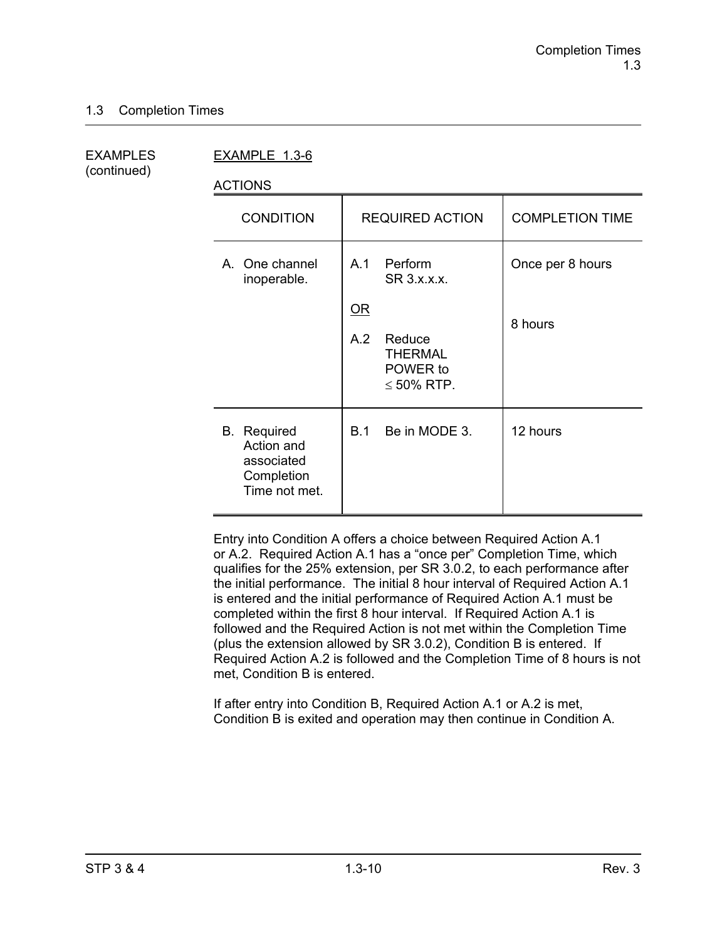(continued)

EXAMPLES EXAMPLE 1.3-6

ACTIONS

| <b>CONDITION</b>                                                              | <b>REQUIRED ACTION</b>                                                                                                        | <b>COMPLETION TIME</b>      |
|-------------------------------------------------------------------------------|-------------------------------------------------------------------------------------------------------------------------------|-----------------------------|
| A. One channel<br>inoperable.                                                 | Perform<br>A.1<br>SR 3.x.x.x.<br>$\underline{\mathsf{OR}}$<br>A.2<br>Reduce<br><b>THERMAL</b><br>POWER to<br>$\leq 50\%$ RTP. | Once per 8 hours<br>8 hours |
| <b>B.</b> Required<br>Action and<br>associated<br>Completion<br>Time not met. | Be in MODE 3.<br>B.1                                                                                                          | 12 hours                    |

Entry into Condition A offers a choice between Required Action A.1 or A.2. Required Action A.1 has a "once per" Completion Time, which qualifies for the 25% extension, per SR 3.0.2, to each performance after the initial performance. The initial 8 hour interval of Required Action A.1 is entered and the initial performance of Required Action A.1 must be completed within the first 8 hour interval. If Required Action A.1 is followed and the Required Action is not met within the Completion Time (plus the extension allowed by SR 3.0.2), Condition B is entered. If Required Action A.2 is followed and the Completion Time of 8 hours is not met, Condition B is entered.

If after entry into Condition B, Required Action A.1 or A.2 is met, Condition B is exited and operation may then continue in Condition A.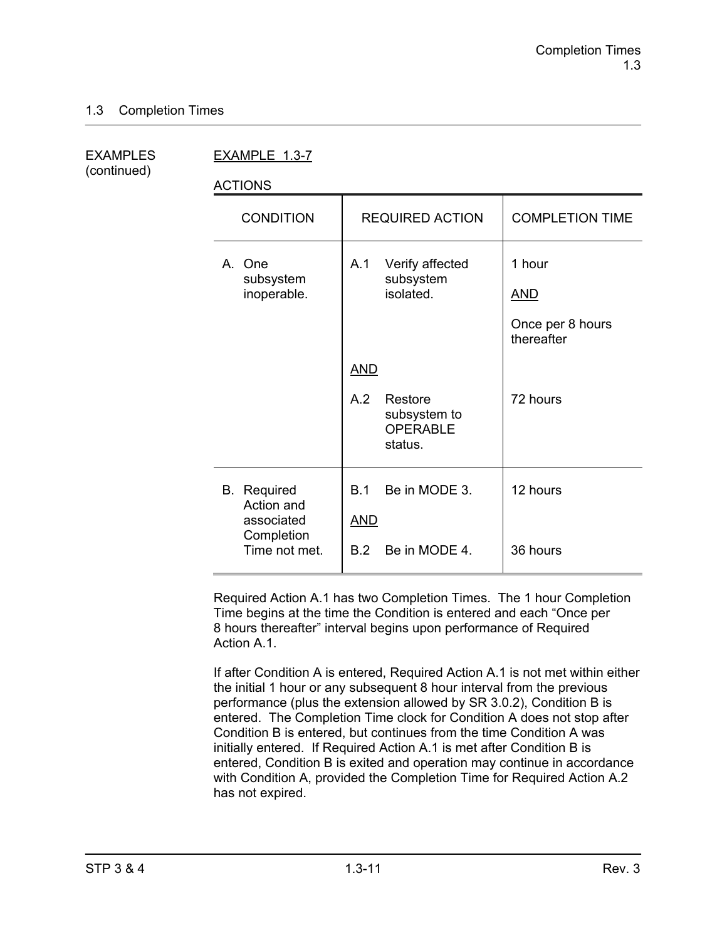| <b>EXAMPLES</b> |  |
|-----------------|--|
| (continued)     |  |

EXAMPLE 1.3-7

ACTIONS

| <b>CONDITION</b>                               | <b>REQUIRED ACTION</b>                                       | <b>COMPLETION TIME</b>                                 |
|------------------------------------------------|--------------------------------------------------------------|--------------------------------------------------------|
| A. One<br>subsystem<br>inoperable.             | Verify affected<br>A.1<br>subsystem<br>isolated.             | 1 hour<br><b>AND</b><br>Once per 8 hours<br>thereafter |
|                                                | <b>AND</b>                                                   |                                                        |
|                                                | A.2<br>Restore<br>subsystem to<br><b>OPERABLE</b><br>status. | 72 hours                                               |
| <b>B.</b> Required<br>Action and<br>associated | Be in MODE 3.<br>B.1<br><b>AND</b>                           | 12 hours                                               |
| Completion<br>Time not met.                    | B.2<br>Be in MODE 4.                                         | 36 hours                                               |

Required Action A.1 has two Completion Times. The 1 hour Completion Time begins at the time the Condition is entered and each "Once per 8 hours thereafter" interval begins upon performance of Required Action A<sub>1</sub>

If after Condition A is entered, Required Action A.1 is not met within either the initial 1 hour or any subsequent 8 hour interval from the previous performance (plus the extension allowed by SR 3.0.2), Condition B is entered. The Completion Time clock for Condition A does not stop after Condition B is entered, but continues from the time Condition A was initially entered. If Required Action A.1 is met after Condition B is entered, Condition B is exited and operation may continue in accordance with Condition A, provided the Completion Time for Required Action A.2 has not expired.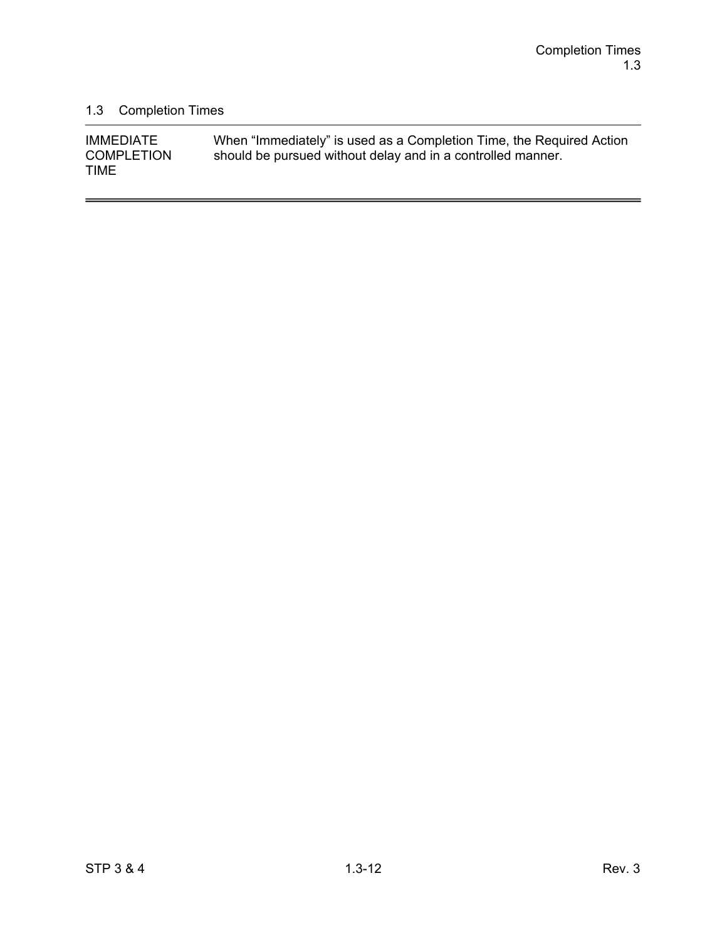$\overline{a}$ 

# 1.3 Completion Times

| <b>IMMEDIATE</b>  | When "Immediately" is used as a Completion Time, the Required Action |
|-------------------|----------------------------------------------------------------------|
| <b>COMPLETION</b> | should be pursued without delay and in a controlled manner.          |
| <b>TIME</b>       |                                                                      |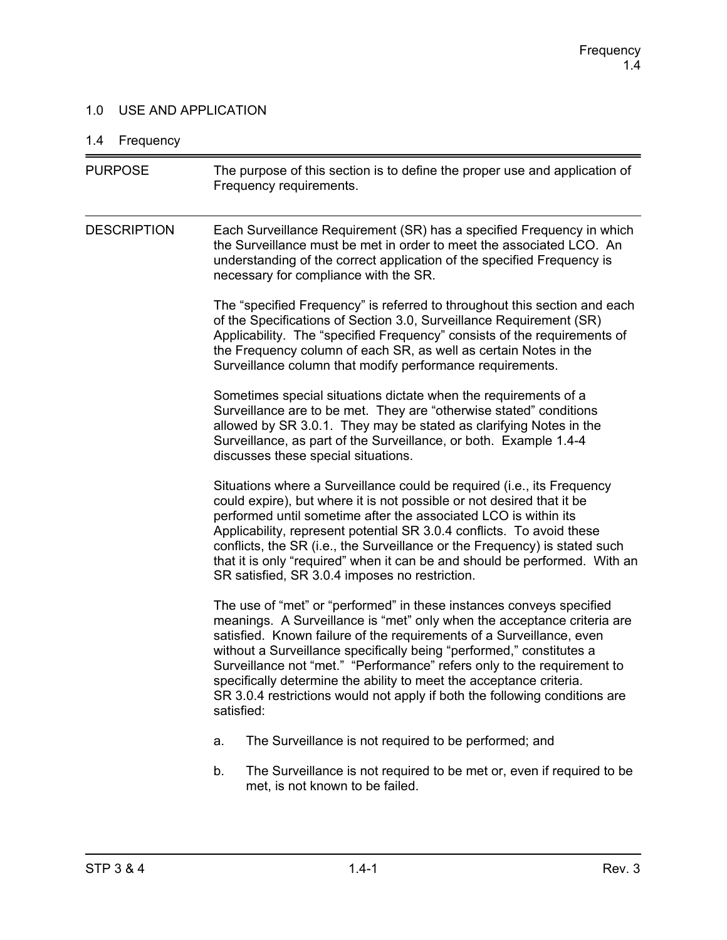### 1.0 USE AND APPLICATION

# 1.4 Frequency

| <b>PURPOSE</b>     | The purpose of this section is to define the proper use and application of<br>Frequency requirements.                                                                                                                                                                                                                                                                                                                                                                                                                                         |  |  |
|--------------------|-----------------------------------------------------------------------------------------------------------------------------------------------------------------------------------------------------------------------------------------------------------------------------------------------------------------------------------------------------------------------------------------------------------------------------------------------------------------------------------------------------------------------------------------------|--|--|
| <b>DESCRIPTION</b> | Each Surveillance Requirement (SR) has a specified Frequency in which<br>the Surveillance must be met in order to meet the associated LCO. An<br>understanding of the correct application of the specified Frequency is<br>necessary for compliance with the SR.                                                                                                                                                                                                                                                                              |  |  |
|                    | The "specified Frequency" is referred to throughout this section and each<br>of the Specifications of Section 3.0, Surveillance Requirement (SR)<br>Applicability. The "specified Frequency" consists of the requirements of<br>the Frequency column of each SR, as well as certain Notes in the<br>Surveillance column that modify performance requirements.                                                                                                                                                                                 |  |  |
|                    | Sometimes special situations dictate when the requirements of a<br>Surveillance are to be met. They are "otherwise stated" conditions<br>allowed by SR 3.0.1. They may be stated as clarifying Notes in the<br>Surveillance, as part of the Surveillance, or both. Example 1.4-4<br>discusses these special situations.                                                                                                                                                                                                                       |  |  |
|                    | Situations where a Surveillance could be required (i.e., its Frequency<br>could expire), but where it is not possible or not desired that it be<br>performed until sometime after the associated LCO is within its<br>Applicability, represent potential SR 3.0.4 conflicts. To avoid these<br>conflicts, the SR (i.e., the Surveillance or the Frequency) is stated such<br>that it is only "required" when it can be and should be performed. With an<br>SR satisfied, SR 3.0.4 imposes no restriction.                                     |  |  |
|                    | The use of "met" or "performed" in these instances conveys specified<br>meanings. A Surveillance is "met" only when the acceptance criteria are<br>satisfied. Known failure of the requirements of a Surveillance, even<br>without a Surveillance specifically being "performed," constitutes a<br>Surveillance not "met." "Performance" refers only to the requirement to<br>specifically determine the ability to meet the acceptance criteria.<br>SR 3.0.4 restrictions would not apply if both the following conditions are<br>satisfied: |  |  |
|                    | The Surveillance is not required to be performed; and<br>a.                                                                                                                                                                                                                                                                                                                                                                                                                                                                                   |  |  |
|                    | The Surveillance is not required to be met or, even if required to be<br>b.<br>met, is not known to be failed.                                                                                                                                                                                                                                                                                                                                                                                                                                |  |  |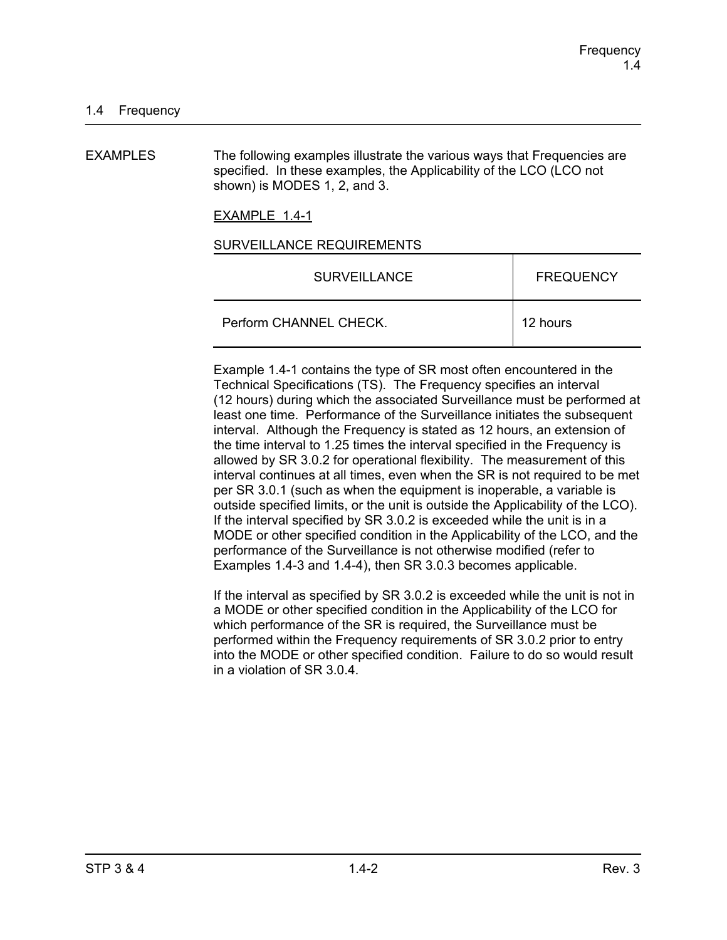EXAMPLES The following examples illustrate the various ways that Frequencies are specified. In these examples, the Applicability of the LCO (LCO not shown) is MODES 1, 2, and 3.

EXAMPLE 1.4-1

#### SURVEILLANCE REQUIREMENTS

| <b>SURVEILLANCE</b>    | <b>FREQUENCY</b> |
|------------------------|------------------|
| Perform CHANNEL CHECK. | 12 hours         |

Example 1.4-1 contains the type of SR most often encountered in the Technical Specifications (TS). The Frequency specifies an interval (12 hours) during which the associated Surveillance must be performed at least one time. Performance of the Surveillance initiates the subsequent interval. Although the Frequency is stated as 12 hours, an extension of the time interval to 1.25 times the interval specified in the Frequency is allowed by SR 3.0.2 for operational flexibility. The measurement of this interval continues at all times, even when the SR is not required to be met per SR 3.0.1 (such as when the equipment is inoperable, a variable is outside specified limits, or the unit is outside the Applicability of the LCO). If the interval specified by SR 3.0.2 is exceeded while the unit is in a MODE or other specified condition in the Applicability of the LCO, and the performance of the Surveillance is not otherwise modified (refer to Examples 1.4-3 and 1.4-4), then SR 3.0.3 becomes applicable.

If the interval as specified by SR 3.0.2 is exceeded while the unit is not in a MODE or other specified condition in the Applicability of the LCO for which performance of the SR is required, the Surveillance must be performed within the Frequency requirements of SR 3.0.2 prior to entry into the MODE or other specified condition. Failure to do so would result in a violation of SR 3.0.4.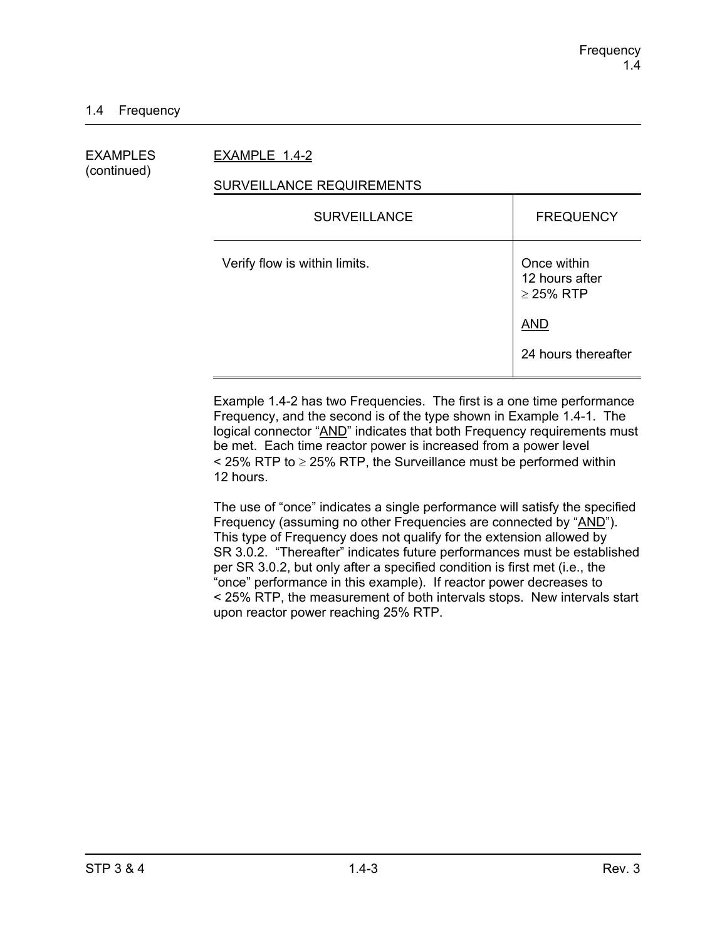EXAMPLES EXAMPLE 1.4-2

# (continued)

### SURVEILLANCE REQUIREMENTS

| <b>SURVEILLANCE</b>           | <b>FREQUENCY</b>                                |
|-------------------------------|-------------------------------------------------|
| Verify flow is within limits. | Once within<br>12 hours after<br>$\geq$ 25% RTP |
|                               | <b>AND</b>                                      |
|                               | 24 hours thereafter                             |

Example 1.4-2 has two Frequencies. The first is a one time performance Frequency, and the second is of the type shown in Example 1.4-1. The logical connector "AND" indicates that both Frequency requirements must be met. Each time reactor power is increased from a power level  $\le$  25% RTP to  $\ge$  25% RTP, the Surveillance must be performed within 12 hours.

The use of "once" indicates a single performance will satisfy the specified Frequency (assuming no other Frequencies are connected by "AND"). This type of Frequency does not qualify for the extension allowed by SR 3.0.2. "Thereafter" indicates future performances must be established per SR 3.0.2, but only after a specified condition is first met (i.e., the "once" performance in this example). If reactor power decreases to < 25% RTP, the measurement of both intervals stops. New intervals start upon reactor power reaching 25% RTP.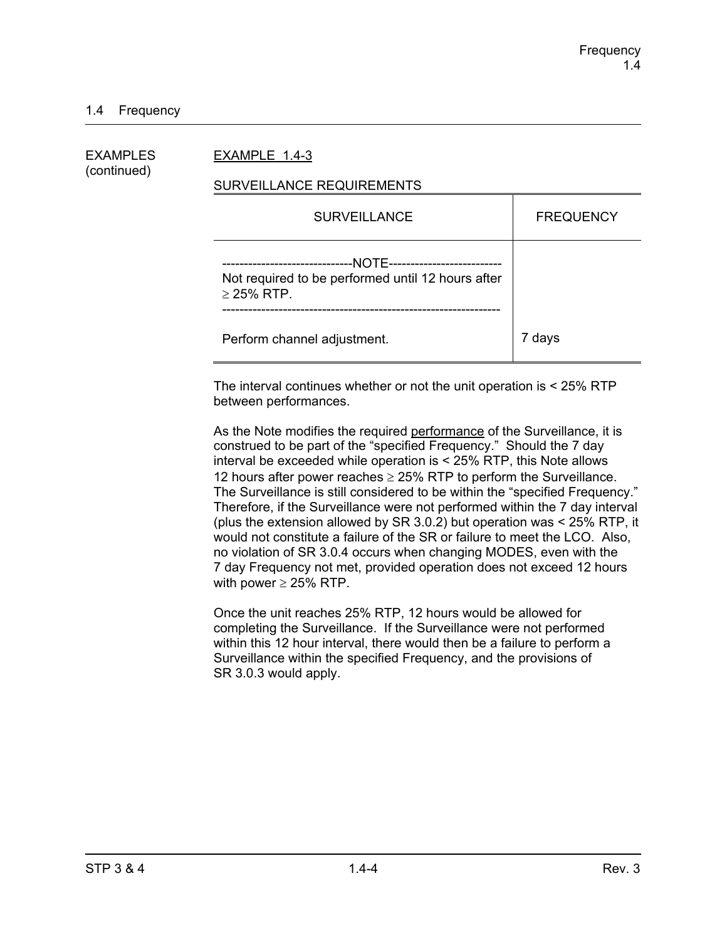### 1.4 Frequency

| EXAMPLES<br>(continued) | EXAMPLE 1.4-3                                                                                                                       |                  |  |
|-------------------------|-------------------------------------------------------------------------------------------------------------------------------------|------------------|--|
|                         | SURVEILLANCE REQUIREMENTS                                                                                                           |                  |  |
|                         | <b>SURVEILLANCE</b>                                                                                                                 | <b>FREQUENCY</b> |  |
|                         | --NOTE-----------------------<br>--------------------------<br>Not required to be performed until 12 hours after<br>$\geq$ 25% RTP. |                  |  |
|                         | Perform channel adjustment.                                                                                                         | 7 days           |  |

The interval continues whether or not the unit operation is < 25% RTP between performances.

As the Note modifies the required performance of the Surveillance, it is construed to be part of the "specified Frequency." Should the 7 day interval be exceeded while operation is < 25% RTP, this Note allows 12 hours after power reaches  $\geq$  25% RTP to perform the Surveillance. The Surveillance is still considered to be within the "specified Frequency." Therefore, if the Surveillance were not performed within the 7 day interval (plus the extension allowed by SR 3.0.2) but operation was < 25% RTP, it would not constitute a failure of the SR or failure to meet the LCO. Also, no violation of SR 3.0.4 occurs when changing MODES, even with the 7 day Frequency not met, provided operation does not exceed 12 hours with power  $\geq$  25% RTP.

Once the unit reaches 25% RTP, 12 hours would be allowed for completing the Surveillance. If the Surveillance were not performed within this 12 hour interval, there would then be a failure to perform a Surveillance within the specified Frequency, and the provisions of SR 3.0.3 would apply.